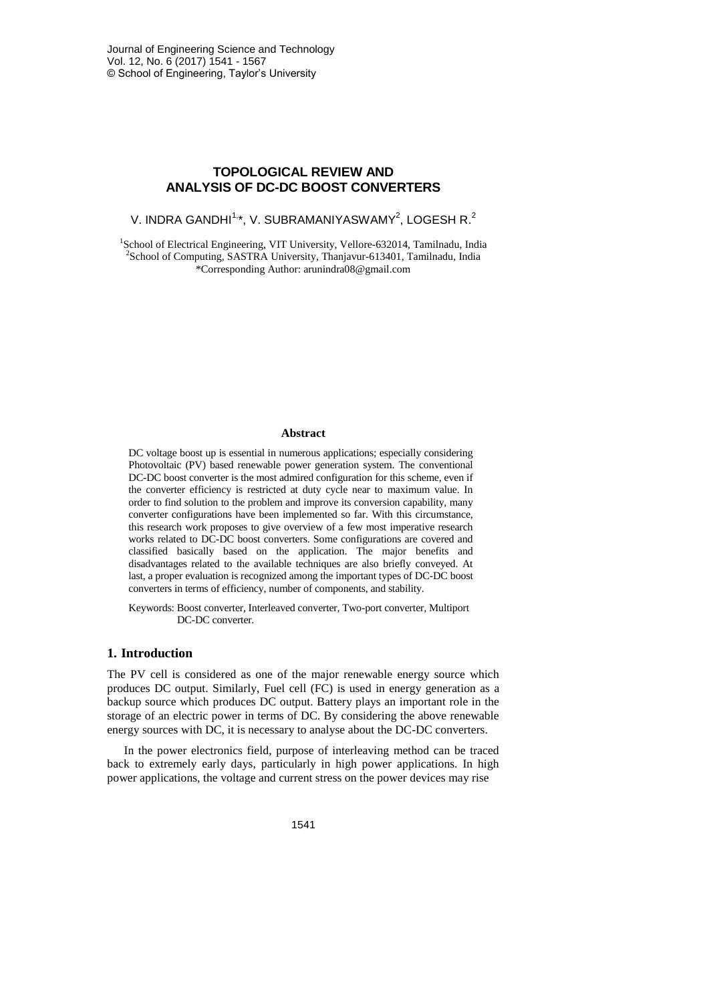# **TOPOLOGICAL REVIEW AND ANALYSIS OF DC-DC BOOST CONVERTERS**

V. INDRA GANDHI $1, *$ , V. SUBRAMANIYASWAMY $^2$ , LOGESH R. $^2$ 

<sup>1</sup>School of Electrical Engineering, VIT University, Vellore-632014, Tamilnadu, India <sup>2</sup>School of Computing, SASTRA University, Thanjavur-613401, Tamilnadu, India \*Corresponding Author: arunindra08@gmail.com

#### **Abstract**

DC voltage boost up is essential in numerous applications; especially considering Photovoltaic (PV) based renewable power generation system. The conventional DC-DC boost converter is the most admired configuration for this scheme, even if the converter efficiency is restricted at duty cycle near to maximum value. In order to find solution to the problem and improve its conversion capability, many converter configurations have been implemented so far. With this circumstance, this research work proposes to give overview of a few most imperative research works related to DC-DC boost converters. Some configurations are covered and classified basically based on the application. The major benefits and disadvantages related to the available techniques are also briefly conveyed. At last, a proper evaluation is recognized among the important types of DC-DC boost converters in terms of efficiency, number of components, and stability.

Keywords: Boost converter, Interleaved converter, Two-port converter, Multiport DC-DC converter.

### **1. Introduction**

The PV cell is considered as one of the major renewable energy source which produces DC output. Similarly, Fuel cell (FC) is used in energy generation as a backup source which produces DC output. Battery plays an important role in the storage of an electric power in terms of DC. By considering the above renewable energy sources with DC, it is necessary to analyse about the DC-DC converters.

In the power electronics field, purpose of interleaving method can be traced back to extremely early days, particularly in high power applications. In high power applications, the voltage and current stress on the power devices may rise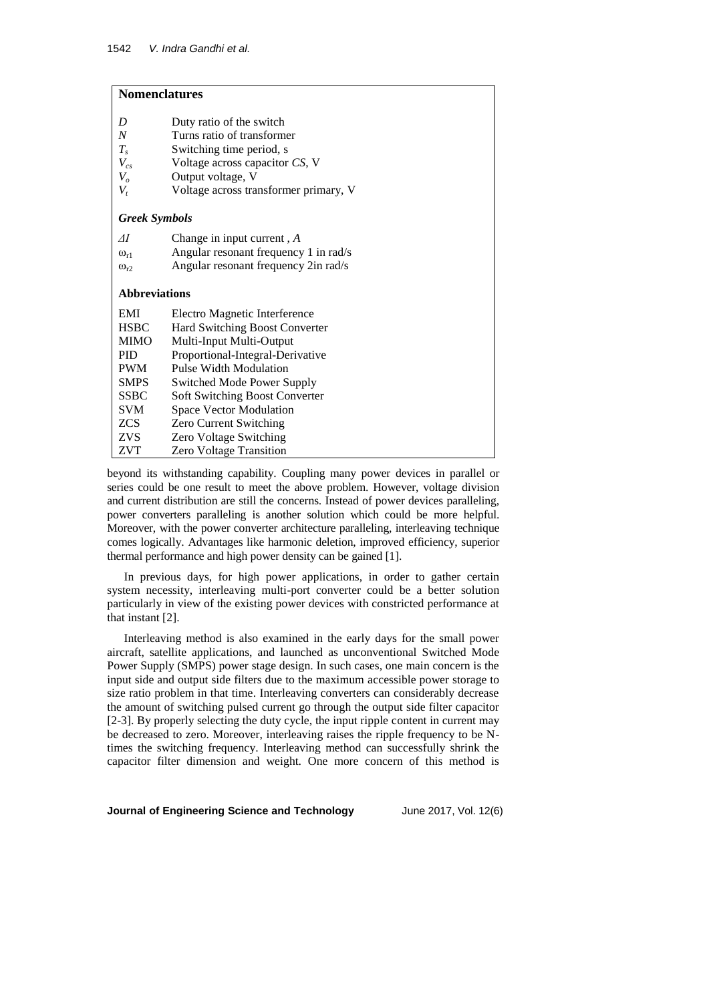## **Nomenclatures**

| D                    | Duty ratio of the switch                                   |
|----------------------|------------------------------------------------------------|
| N                    | Turns ratio of transformer                                 |
| $T_{s}$              | Switching time period, s                                   |
| $V_{cs}$             | Voltage across capacitor CS, V                             |
| $V_{o}$              | Output voltage, V                                          |
| $V_t$                | Voltage across transformer primary, V                      |
|                      |                                                            |
| <b>Greek Symbols</b> |                                                            |
| ΑI                   | Change in input current, A                                 |
| $\omega_{r1}$        | Angular resonant frequency 1 in rad/s                      |
| $\omega_{r2}$        | Angular resonant frequency 2in rad/s                       |
|                      |                                                            |
|                      |                                                            |
| <b>Abbreviations</b> |                                                            |
| EMI                  |                                                            |
| <b>HSBC</b>          | Electro Magnetic Interference                              |
| <b>MIMO</b>          | Hard Switching Boost Converter<br>Multi-Input Multi-Output |
| <b>PID</b>           | Proportional-Integral-Derivative                           |
| <b>PWM</b>           | <b>Pulse Width Modulation</b>                              |
| <b>SMPS</b>          | <b>Switched Mode Power Supply</b>                          |
| <b>SSBC</b>          | Soft Switching Boost Converter                             |
| SVM                  | Space Vector Modulation                                    |
| ZCS                  | Zero Current Switching                                     |
| ZVS.                 | <b>Zero Voltage Switching</b>                              |

beyond its withstanding capability. Coupling many power devices in parallel or series could be one result to meet the above problem. However, voltage division and current distribution are still the concerns. Instead of power devices paralleling, power converters paralleling is another solution which could be more helpful. Moreover, with the power converter architecture paralleling, interleaving technique comes logically. Advantages like harmonic deletion, improved efficiency, superior thermal performance and high power density can be gained [1].

In previous days, for high power applications, in order to gather certain system necessity, interleaving multi-port converter could be a better solution particularly in view of the existing power devices with constricted performance at that instant [2].

Interleaving method is also examined in the early days for the small power aircraft, satellite applications, and launched as unconventional Switched Mode Power Supply (SMPS) power stage design. In such cases, one main concern is the input side and output side filters due to the maximum accessible power storage to size ratio problem in that time. Interleaving converters can considerably decrease the amount of switching pulsed current go through the output side filter capacitor [2-3]. By properly selecting the duty cycle, the input ripple content in current may be decreased to zero. Moreover, interleaving raises the ripple frequency to be Ntimes the switching frequency. Interleaving method can successfully shrink the capacitor filter dimension and weight. One more concern of this method is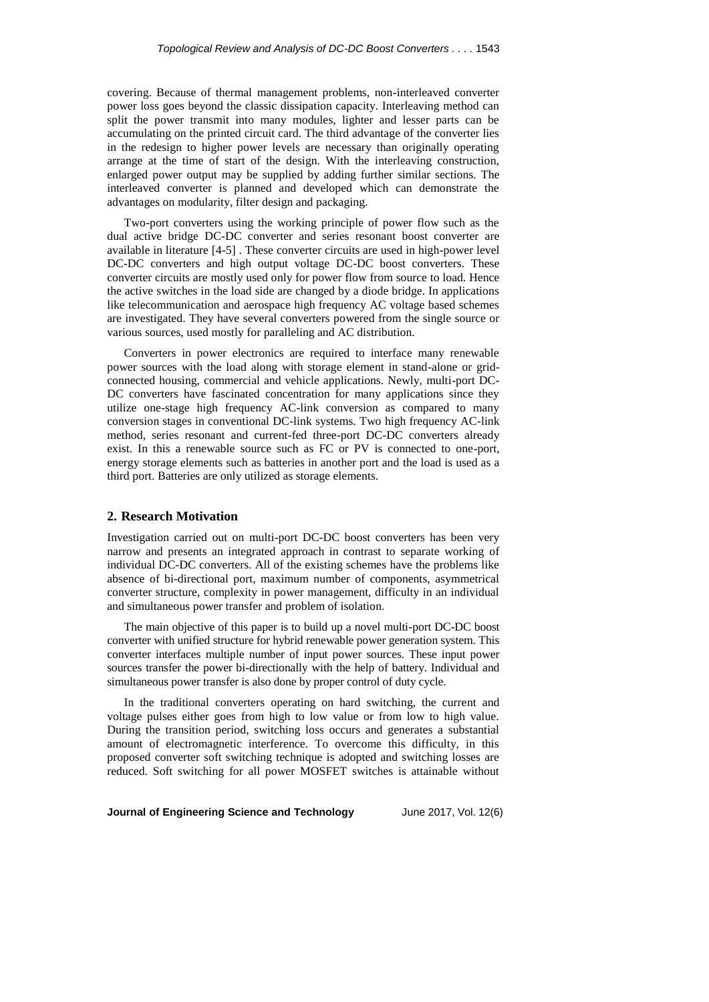covering. Because of thermal management problems, non-interleaved converter power loss goes beyond the classic dissipation capacity. Interleaving method can split the power transmit into many modules, lighter and lesser parts can be accumulating on the printed circuit card. The third advantage of the converter lies in the redesign to higher power levels are necessary than originally operating arrange at the time of start of the design. With the interleaving construction, enlarged power output may be supplied by adding further similar sections. The interleaved converter is planned and developed which can demonstrate the advantages on modularity, filter design and packaging.

Two-port converters using the working principle of power flow such as the dual active bridge DC-DC converter and series resonant boost converter are available in literature [4-5] . These converter circuits are used in high-power level DC-DC converters and high output voltage DC-DC boost converters. These converter circuits are mostly used only for power flow from source to load. Hence the active switches in the load side are changed by a diode bridge. In applications like telecommunication and aerospace high frequency AC voltage based schemes are investigated. They have several converters powered from the single source or various sources, used mostly for paralleling and AC distribution.

Converters in power electronics are required to interface many renewable power sources with the load along with storage element in stand-alone or gridconnected housing, commercial and vehicle applications. Newly, multi-port DC-DC converters have fascinated concentration for many applications since they utilize one-stage high frequency AC-link conversion as compared to many conversion stages in conventional DC-link systems. Two high frequency AC-link method, series resonant and current-fed three-port DC-DC converters already exist. In this a renewable source such as FC or PV is connected to one-port, energy storage elements such as batteries in another port and the load is used as a third port. Batteries are only utilized as storage elements.

### **2. Research Motivation**

Investigation carried out on multi-port DC-DC boost converters has been very narrow and presents an integrated approach in contrast to separate working of individual DC-DC converters. All of the existing schemes have the problems like absence of bi-directional port, maximum number of components, asymmetrical converter structure, complexity in power management, difficulty in an individual and simultaneous power transfer and problem of isolation.

The main objective of this paper is to build up a novel multi-port DC-DC boost converter with unified structure for hybrid renewable power generation system. This converter interfaces multiple number of input power sources. These input power sources transfer the power bi-directionally with the help of battery. Individual and simultaneous power transfer is also done by proper control of duty cycle.

In the traditional converters operating on hard switching, the current and voltage pulses either goes from high to low value or from low to high value. During the transition period, switching loss occurs and generates a substantial amount of electromagnetic interference. To overcome this difficulty, in this proposed converter soft switching technique is adopted and switching losses are reduced. Soft switching for all power MOSFET switches is attainable without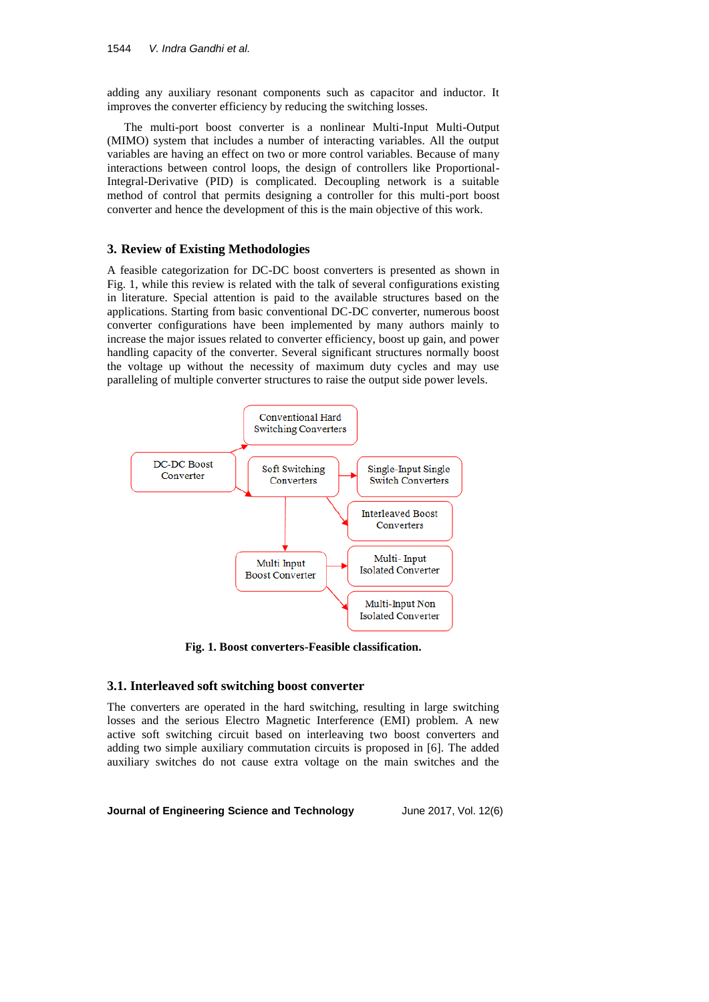adding any auxiliary resonant components such as capacitor and inductor. It improves the converter efficiency by reducing the switching losses.

The multi-port boost converter is a nonlinear Multi-Input Multi-Output (MIMO) system that includes a number of interacting variables. All the output variables are having an effect on two or more control variables. Because of many interactions between control loops, the design of controllers like Proportional-Integral-Derivative (PID) is complicated. Decoupling network is a suitable method of control that permits designing a controller for this multi-port boost converter and hence the development of this is the main objective of this work.

## **3. Review of Existing Methodologies**

A feasible categorization for DC-DC boost converters is presented as shown in Fig. 1, while this review is related with the talk of several configurations existing in literature. Special attention is paid to the available structures based on the applications. Starting from basic conventional DC-DC converter, numerous boost converter configurations have been implemented by many authors mainly to increase the major issues related to converter efficiency, boost up gain, and power handling capacity of the converter. Several significant structures normally boost the voltage up without the necessity of maximum duty cycles and may use paralleling of multiple converter structures to raise the output side power levels.



**Fig. 1. Boost converters-Feasible classification.**

## **3.1. Interleaved soft switching boost converter**

The converters are operated in the hard switching, resulting in large switching losses and the serious Electro Magnetic Interference (EMI) problem. A new active soft switching circuit based on interleaving two boost converters and adding two simple auxiliary commutation circuits is proposed in [6]. The added auxiliary switches do not cause extra voltage on the main switches and the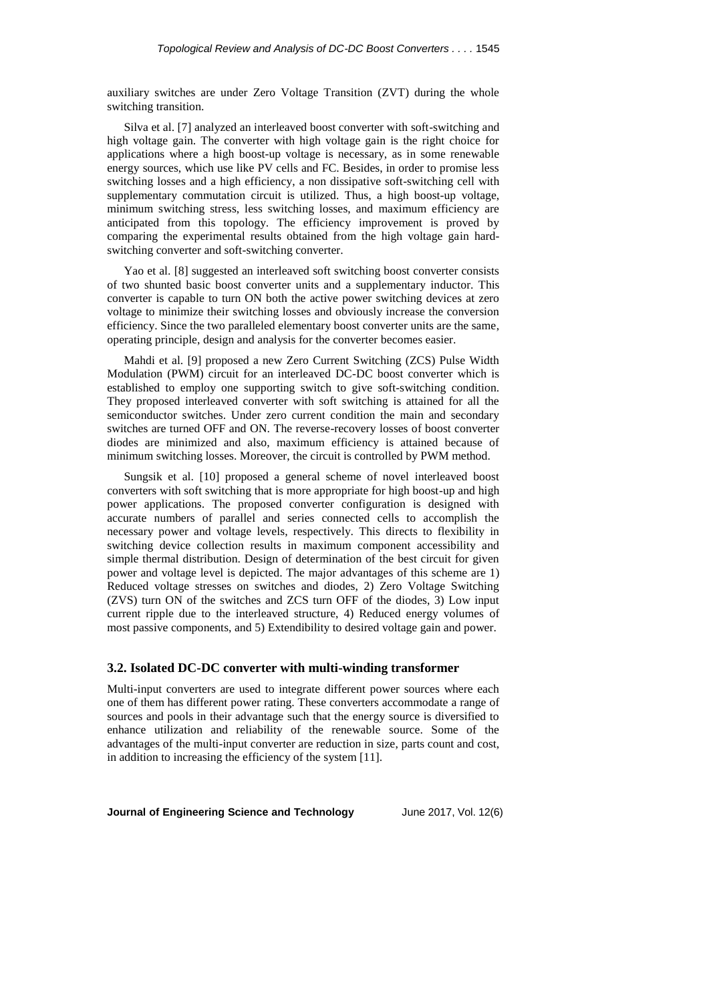auxiliary switches are under Zero Voltage Transition (ZVT) during the whole switching transition.

Silva et al. [7] analyzed an interleaved boost converter with soft-switching and high voltage gain. The converter with high voltage gain is the right choice for applications where a high boost-up voltage is necessary, as in some renewable energy sources, which use like PV cells and FC. Besides, in order to promise less switching losses and a high efficiency, a non dissipative soft-switching cell with supplementary commutation circuit is utilized. Thus, a high boost-up voltage, minimum switching stress, less switching losses, and maximum efficiency are anticipated from this topology. The efficiency improvement is proved by comparing the experimental results obtained from the high voltage gain hardswitching converter and soft-switching converter.

Yao et al. [8] suggested an interleaved soft switching boost converter consists of two shunted basic boost converter units and a supplementary inductor. This converter is capable to turn ON both the active power switching devices at zero voltage to minimize their switching losses and obviously increase the conversion efficiency. Since the two paralleled elementary boost converter units are the same, operating principle, design and analysis for the converter becomes easier.

Mahdi et al. [9] proposed a new Zero Current Switching (ZCS) Pulse Width Modulation (PWM) circuit for an interleaved DC-DC boost converter which is established to employ one supporting switch to give soft-switching condition. They proposed interleaved converter with soft switching is attained for all the semiconductor switches. Under zero current condition the main and secondary switches are turned OFF and ON. The reverse-recovery losses of boost converter diodes are minimized and also, maximum efficiency is attained because of minimum switching losses. Moreover, the circuit is controlled by PWM method.

Sungsik et al. [10] proposed a general scheme of novel interleaved boost converters with soft switching that is more appropriate for high boost-up and high power applications. The proposed converter configuration is designed with accurate numbers of parallel and series connected cells to accomplish the necessary power and voltage levels, respectively. This directs to flexibility in switching device collection results in maximum component accessibility and simple thermal distribution. Design of determination of the best circuit for given power and voltage level is depicted. The major advantages of this scheme are 1) Reduced voltage stresses on switches and diodes, 2) Zero Voltage Switching (ZVS) turn ON of the switches and ZCS turn OFF of the diodes, 3) Low input current ripple due to the interleaved structure, 4) Reduced energy volumes of most passive components, and 5) Extendibility to desired voltage gain and power.

#### **3.2. Isolated DC-DC converter with multi-winding transformer**

Multi-input converters are used to integrate different power sources where each one of them has different power rating. These converters accommodate a range of sources and pools in their advantage such that the energy source is diversified to enhance utilization and reliability of the renewable source. Some of the advantages of the multi-input converter are reduction in size, parts count and cost, in addition to increasing the efficiency of the system [11].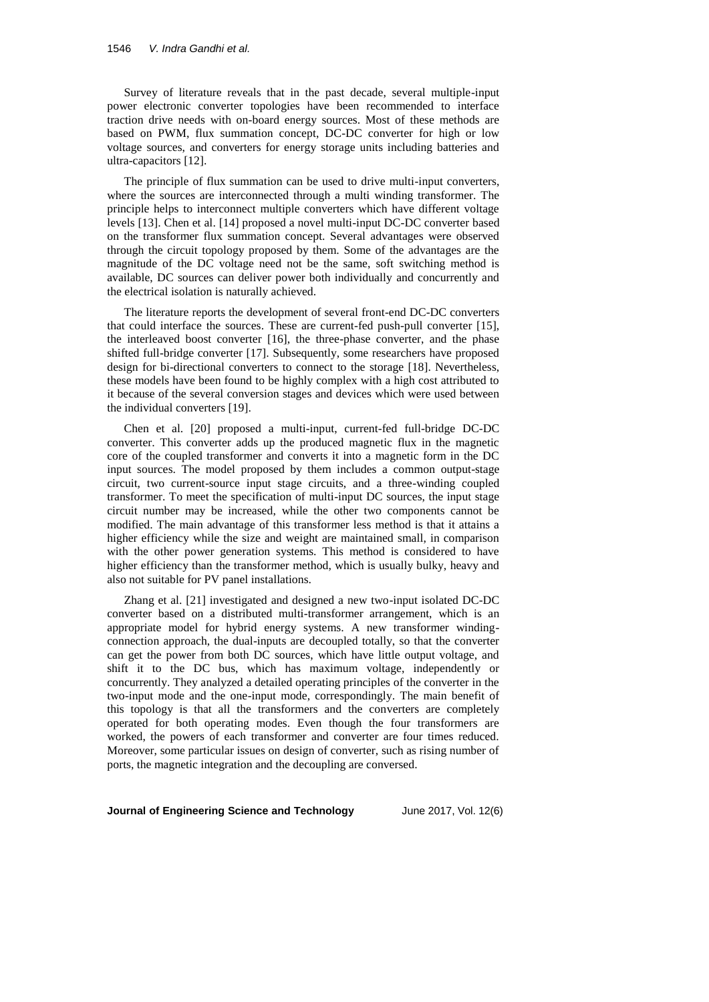Survey of literature reveals that in the past decade, several multiple-input power electronic converter topologies have been recommended to interface traction drive needs with on-board energy sources. Most of these methods are based on PWM, flux summation concept, DC-DC converter for high or low voltage sources, and converters for energy storage units including batteries and ultra-capacitors [12].

The principle of flux summation can be used to drive multi-input converters, where the sources are interconnected through a multi winding transformer. The principle helps to interconnect multiple converters which have different voltage levels [13]. Chen et al. [14] proposed a novel multi-input DC-DC converter based on the transformer flux summation concept. Several advantages were observed through the circuit topology proposed by them. Some of the advantages are the magnitude of the DC voltage need not be the same, soft switching method is available, DC sources can deliver power both individually and concurrently and the electrical isolation is naturally achieved.

The literature reports the development of several front-end DC-DC converters that could interface the sources. These are current-fed push-pull converter [15], the interleaved boost converter [16], the three-phase converter, and the phase shifted full-bridge converter [17]. Subsequently, some researchers have proposed design for bi-directional converters to connect to the storage [18]. Nevertheless, these models have been found to be highly complex with a high cost attributed to it because of the several conversion stages and devices which were used between the individual converters [19].

Chen et al. [20] proposed a multi-input, current-fed full-bridge DC-DC converter. This converter adds up the produced magnetic flux in the magnetic core of the coupled transformer and converts it into a magnetic form in the DC input sources. The model proposed by them includes a common output-stage circuit, two current-source input stage circuits, and a three-winding coupled transformer. To meet the specification of multi-input DC sources, the input stage circuit number may be increased, while the other two components cannot be modified. The main advantage of this transformer less method is that it attains a higher efficiency while the size and weight are maintained small, in comparison with the other power generation systems. This method is considered to have higher efficiency than the transformer method, which is usually bulky, heavy and also not suitable for PV panel installations.

Zhang et al. [21] investigated and designed a new two-input isolated DC-DC converter based on a distributed multi-transformer arrangement, which is an appropriate model for hybrid energy systems. A new transformer windingconnection approach, the dual-inputs are decoupled totally, so that the converter can get the power from both DC sources, which have little output voltage, and shift it to the DC bus, which has maximum voltage, independently or concurrently. They analyzed a detailed operating principles of the converter in the two-input mode and the one-input mode, correspondingly. The main benefit of this topology is that all the transformers and the converters are completely operated for both operating modes. Even though the four transformers are worked, the powers of each transformer and converter are four times reduced. Moreover, some particular issues on design of converter, such as rising number of ports, the magnetic integration and the decoupling are conversed.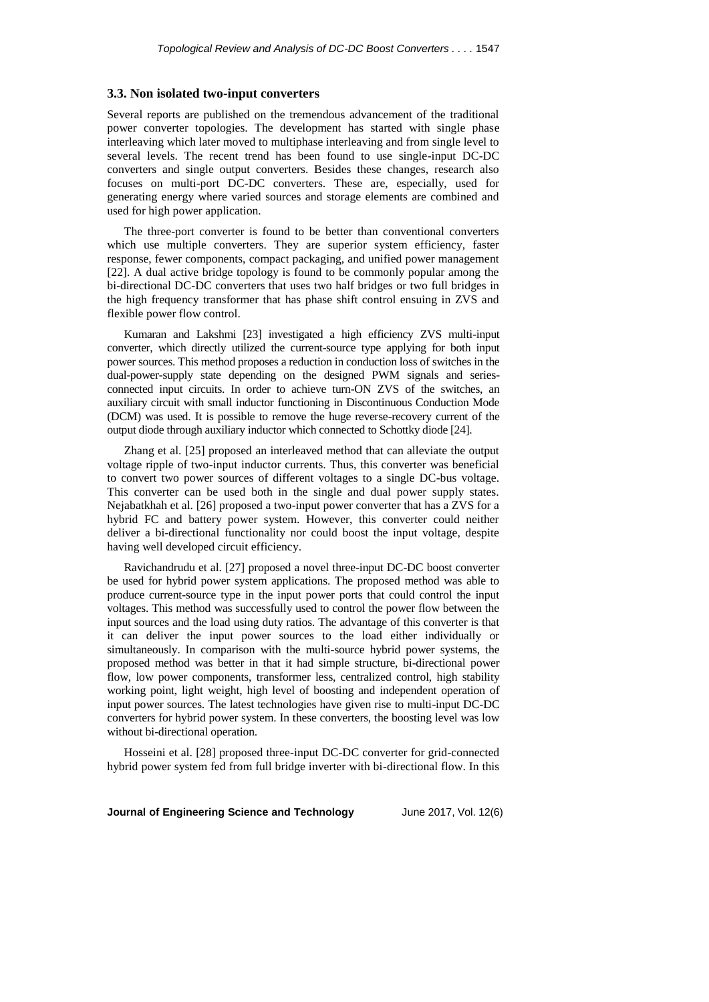### **3.3. Non isolated two-input converters**

Several reports are published on the tremendous advancement of the traditional power converter topologies. The development has started with single phase interleaving which later moved to multiphase interleaving and from single level to several levels. The recent trend has been found to use single-input DC-DC converters and single output converters. Besides these changes, research also focuses on multi-port DC-DC converters. These are, especially, used for generating energy where varied sources and storage elements are combined and used for high power application.

The three-port converter is found to be better than conventional converters which use multiple converters. They are superior system efficiency, faster response, fewer components, compact packaging, and unified power management [22]. A dual active bridge topology is found to be commonly popular among the bi-directional DC-DC converters that uses two half bridges or two full bridges in the high frequency transformer that has phase shift control ensuing in ZVS and flexible power flow control.

Kumaran and Lakshmi [23] investigated a high efficiency ZVS multi-input converter, which directly utilized the current-source type applying for both input power sources. This method proposes a reduction in conduction loss of switches in the dual-power-supply state depending on the designed PWM signals and seriesconnected input circuits. In order to achieve turn-ON ZVS of the switches, an auxiliary circuit with small inductor functioning in Discontinuous Conduction Mode (DCM) was used. It is possible to remove the huge reverse-recovery current of the output diode through auxiliary inductor which connected to Schottky diode [24].

Zhang et al. [25] proposed an interleaved method that can alleviate the output voltage ripple of two-input inductor currents. Thus, this converter was beneficial to convert two power sources of different voltages to a single DC-bus voltage. This converter can be used both in the single and dual power supply states. Nejabatkhah et al. [26] proposed a two-input power converter that has a ZVS for a hybrid FC and battery power system. However, this converter could neither deliver a bi-directional functionality nor could boost the input voltage, despite having well developed circuit efficiency.

Ravichandrudu et al. [27] proposed a novel three-input DC-DC boost converter be used for hybrid power system applications. The proposed method was able to produce current-source type in the input power ports that could control the input voltages. This method was successfully used to control the power flow between the input sources and the load using duty ratios. The advantage of this converter is that it can deliver the input power sources to the load either individually or simultaneously. In comparison with the multi-source hybrid power systems, the proposed method was better in that it had simple structure, bi-directional power flow, low power components, transformer less, centralized control, high stability working point, light weight, high level of boosting and independent operation of input power sources. The latest technologies have given rise to multi-input DC-DC converters for hybrid power system. In these converters, the boosting level was low without bi-directional operation.

Hosseini et al. [28] proposed three-input DC-DC converter for grid-connected hybrid power system fed from full bridge inverter with bi-directional flow. In this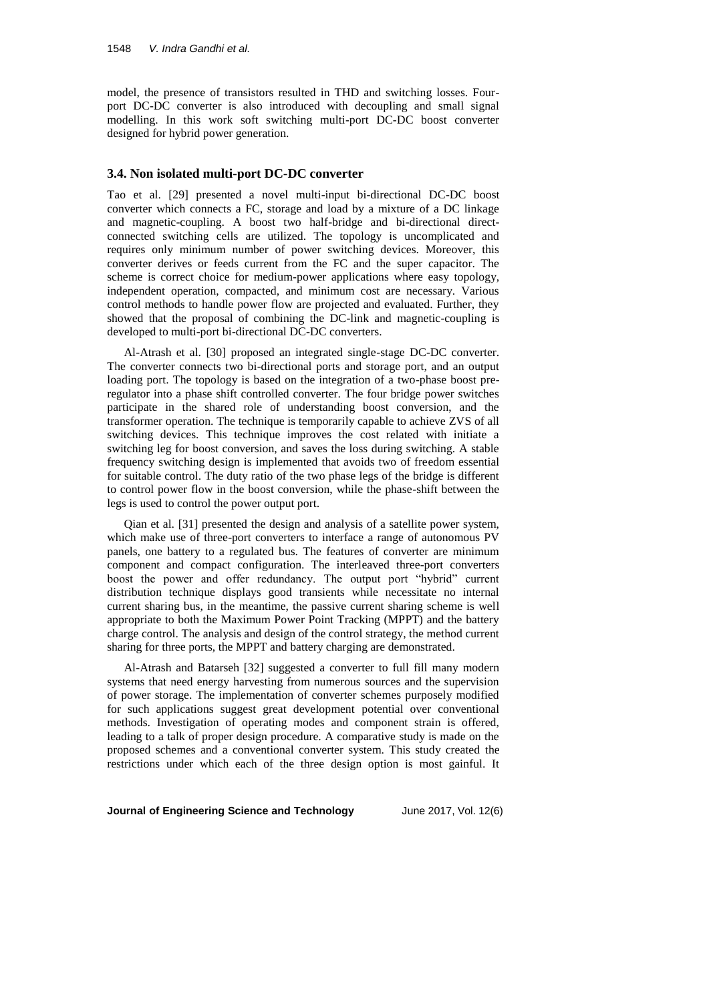model, the presence of transistors resulted in THD and switching losses. Fourport DC-DC converter is also introduced with decoupling and small signal modelling. In this work soft switching multi-port DC-DC boost converter designed for hybrid power generation.

### **3.4. Non isolated multi-port DC-DC converter**

Tao et al. [29] presented a novel multi-input bi-directional DC-DC boost converter which connects a FC, storage and load by a mixture of a DC linkage and magnetic-coupling. A boost two half-bridge and bi-directional directconnected switching cells are utilized. The topology is uncomplicated and requires only minimum number of power switching devices. Moreover, this converter derives or feeds current from the FC and the super capacitor. The scheme is correct choice for medium-power applications where easy topology, independent operation, compacted, and minimum cost are necessary. Various control methods to handle power flow are projected and evaluated. Further, they showed that the proposal of combining the DC-link and magnetic-coupling is developed to multi-port bi-directional DC-DC converters.

Al-Atrash et al. [30] proposed an integrated single-stage DC-DC converter. The converter connects two bi-directional ports and storage port, and an output loading port. The topology is based on the integration of a two-phase boost preregulator into a phase shift controlled converter. The four bridge power switches participate in the shared role of understanding boost conversion, and the transformer operation. The technique is temporarily capable to achieve ZVS of all switching devices. This technique improves the cost related with initiate a switching leg for boost conversion, and saves the loss during switching. A stable frequency switching design is implemented that avoids two of freedom essential for suitable control. The duty ratio of the two phase legs of the bridge is different to control power flow in the boost conversion, while the phase-shift between the legs is used to control the power output port.

Qian et al. [31] presented the design and analysis of a satellite power system, which make use of three-port converters to interface a range of autonomous PV panels, one battery to a regulated bus. The features of converter are minimum component and compact configuration. The interleaved three-port converters boost the power and offer redundancy. The output port "hybrid" current distribution technique displays good transients while necessitate no internal current sharing bus, in the meantime, the passive current sharing scheme is well appropriate to both the Maximum Power Point Tracking (MPPT) and the battery charge control. The analysis and design of the control strategy, the method current sharing for three ports, the MPPT and battery charging are demonstrated.

Al-Atrash and Batarseh [32] suggested a converter to full fill many modern systems that need energy harvesting from numerous sources and the supervision of power storage. The implementation of converter schemes purposely modified for such applications suggest great development potential over conventional methods. Investigation of operating modes and component strain is offered, leading to a talk of proper design procedure. A comparative study is made on the proposed schemes and a conventional converter system. This study created the restrictions under which each of the three design option is most gainful. It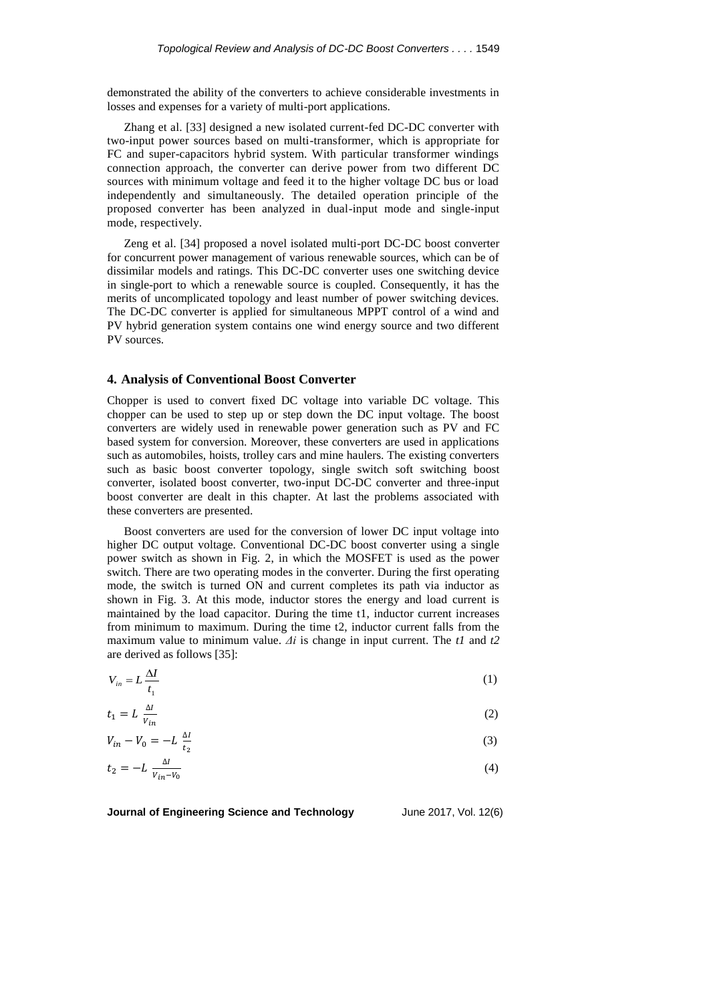demonstrated the ability of the converters to achieve considerable investments in losses and expenses for a variety of multi-port applications.

Zhang et al. [33] designed a new isolated current-fed DC-DC converter with two-input power sources based on multi-transformer, which is appropriate for FC and super-capacitors hybrid system. With particular transformer windings connection approach, the converter can derive power from two different DC sources with minimum voltage and feed it to the higher voltage DC bus or load independently and simultaneously. The detailed operation principle of the proposed converter has been analyzed in dual-input mode and single-input mode, respectively.

Zeng et al. [34] proposed a novel isolated multi-port DC-DC boost converter for concurrent power management of various renewable sources, which can be of dissimilar models and ratings. This DC-DC converter uses one switching device in single-port to which a renewable source is coupled. Consequently, it has the merits of uncomplicated topology and least number of power switching devices. The DC-DC converter is applied for simultaneous MPPT control of a wind and PV hybrid generation system contains one wind energy source and two different PV sources.

### **4. Analysis of Conventional Boost Converter**

Chopper is used to convert fixed DC voltage into variable DC voltage. This chopper can be used to step up or step down the DC input voltage. The boost converters are widely used in renewable power generation such as PV and FC based system for conversion. Moreover, these converters are used in applications such as automobiles, hoists, trolley cars and mine haulers. The existing converters such as basic boost converter topology, single switch soft switching boost converter, isolated boost converter, two-input DC-DC converter and three-input boost converter are dealt in this chapter. At last the problems associated with these converters are presented.

Boost converters are used for the conversion of lower DC input voltage into higher DC output voltage. Conventional DC-DC boost converter using a single power switch as shown in Fig. 2, in which the MOSFET is used as the power switch. There are two operating modes in the converter. During the first operating mode, the switch is turned ON and current completes its path via inductor as shown in Fig. 3. At this mode, inductor stores the energy and load current is maintained by the load capacitor. During the time t1, inductor current increases from minimum to maximum. During the time t2, inductor current falls from the maximum value to minimum value. *Δi* is change in input current. The *t1* and *t2* are derived as follows [35]:

$$
V_{in} = L \frac{\Delta I}{t_1} \tag{1}
$$

$$
t_1 = L \frac{\Delta l}{V_{in}} \tag{2}
$$

$$
V_{in} - V_0 = -L \frac{\Delta t}{t_2} \tag{3}
$$

$$
t_2 = -L \frac{\Delta l}{V_{in} - V_0} \tag{4}
$$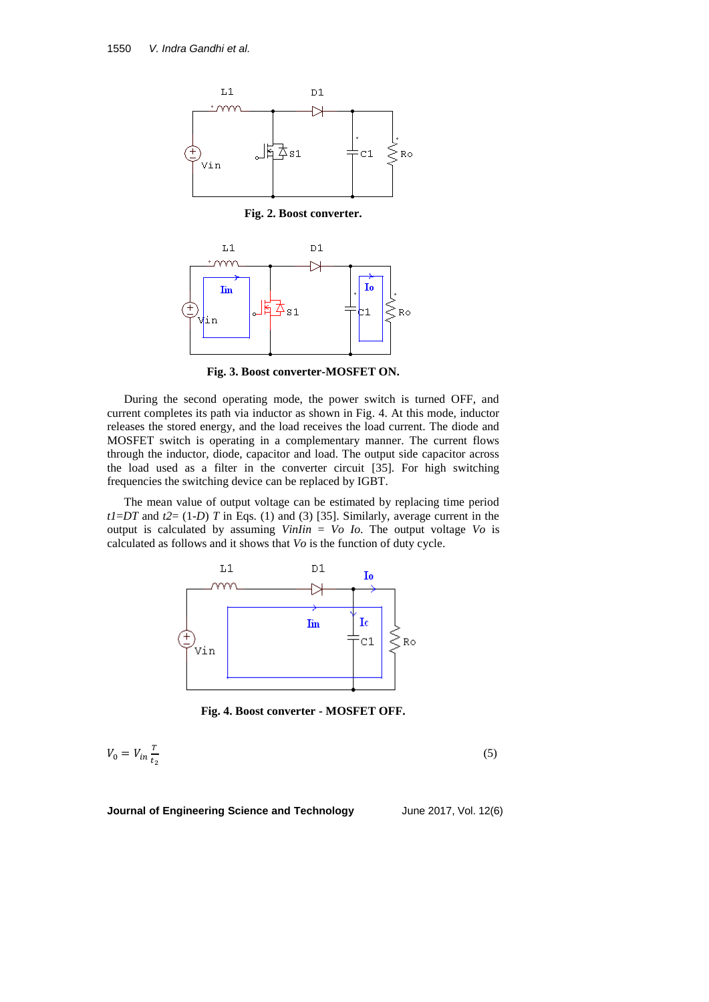

**Fig. 2. Boost converter.**



**Fig. 3. Boost converter-MOSFET ON.**

During the second operating mode, the power switch is turned OFF, and current completes its path via inductor as shown in Fig. 4. At this mode, inductor releases the stored energy, and the load receives the load current. The diode and MOSFET switch is operating in a complementary manner. The current flows through the inductor, diode, capacitor and load. The output side capacitor across the load used as a filter in the converter circuit [35]. For high switching frequencies the switching device can be replaced by IGBT.

The mean value of output voltage can be estimated by replacing time period  $tI = DT$  and  $t2 = (1-D)$  *T* in Eqs. (1) and (3) [35]. Similarly, average current in the output is calculated by assuming *VinIin* = *Vo Io*. The output voltage *Vo* is calculated as follows and it shows that *Vo* is the function of duty cycle.



**Fig. 4. Boost converter - MOSFET OFF.**

$$
V_0 = V_{in} \frac{\tau}{t_2} \tag{5}
$$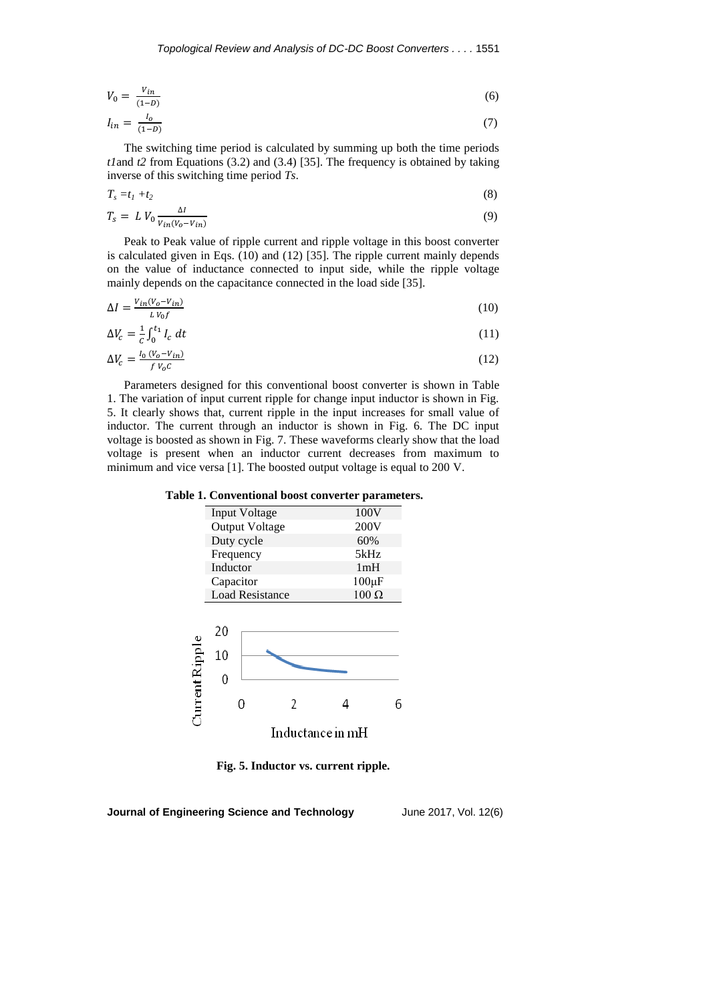$$
V_0 = \frac{V_{in}}{(1 - D)}\tag{6}
$$

$$
I_{in} = \frac{I_o}{(1 - D)}\tag{7}
$$

The switching time period is calculated by summing up both the time periods *t1*and *t2* from Equations (3.2) and (3.4) [35]. The frequency is obtained by taking inverse of this switching time period *Ts*.

$$
T_s = t_1 + t_2 \tag{8}
$$

$$
T_s = L V_0 \frac{\Delta l}{V_{in}(V_0 - V_{in})}
$$
\n<sup>(9)</sup>

Peak to Peak value of ripple current and ripple voltage in this boost converter is calculated given in Eqs. (10) and (12) [35]. The ripple current mainly depends on the value of inductance connected to input side, while the ripple voltage mainly depends on the capacitance connected in the load side [35].

$$
\Delta I = \frac{V_{in}(V_o - V_{in})}{LV_0 f} \tag{10}
$$

$$
\Delta V_c = \frac{1}{c} \int_0^{t_1} I_c \, dt \tag{11}
$$

$$
\Delta V_c = \frac{I_0 \left( V_0 - V_{in} \right)}{f V_0 c} \tag{12}
$$

Parameters designed for this conventional boost converter is shown in Table 1. The variation of input current ripple for change input inductor is shown in Fig. 5. It clearly shows that, current ripple in the input increases for small value of inductor. The current through an inductor is shown in Fig. 6. The DC input voltage is boosted as shown in Fig. 7. These waveforms clearly show that the load voltage is present when an inductor current decreases from maximum to minimum and vice versa [1]. The boosted output voltage is equal to 200 V.

**Table 1. Conventional boost converter parameters.**

| Input Voltage          | 100V         |
|------------------------|--------------|
| <b>Output Voltage</b>  | 200V         |
| Duty cycle             | 60%          |
| Frequency              | 5kHz         |
| Inductor               | 1mH          |
| Capacitor              | $100 \mu F$  |
| <b>Load Resistance</b> | $100 \Omega$ |



**Fig. 5. Inductor vs. current ripple.**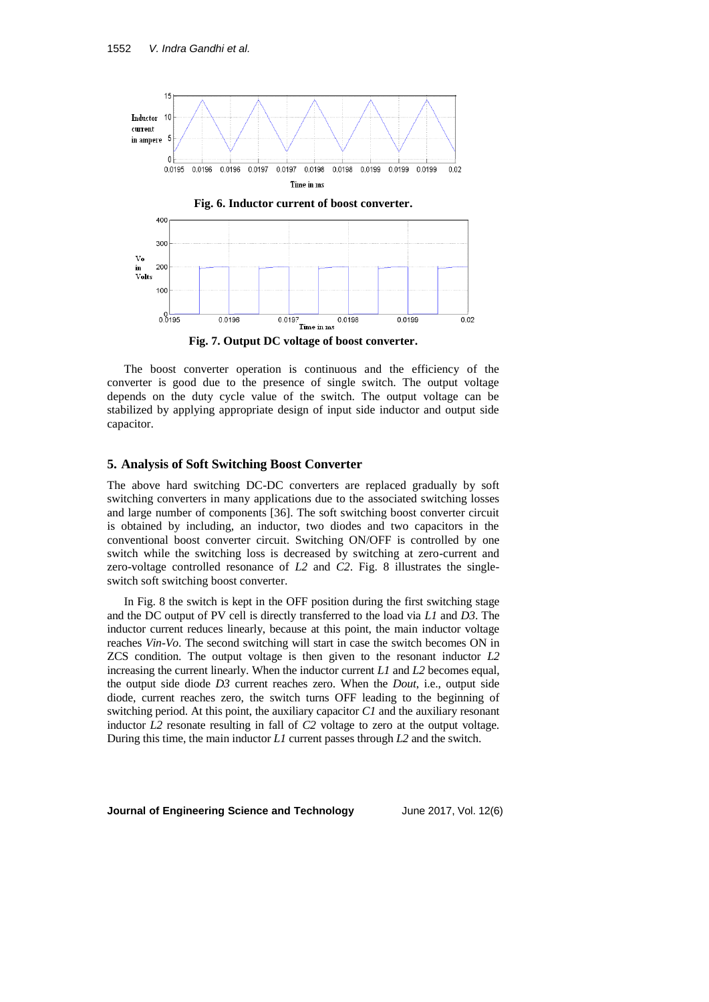

**Fig. 7. Output DC voltage of boost converter.**

The boost converter operation is continuous and the efficiency of the converter is good due to the presence of single switch. The output voltage depends on the duty cycle value of the switch. The output voltage can be stabilized by applying appropriate design of input side inductor and output side capacitor.

### **5. Analysis of Soft Switching Boost Converter**

The above hard switching DC-DC converters are replaced gradually by soft switching converters in many applications due to the associated switching losses and large number of components [36]. The soft switching boost converter circuit is obtained by including, an inductor, two diodes and two capacitors in the conventional boost converter circuit. Switching ON/OFF is controlled by one switch while the switching loss is decreased by switching at zero-current and zero-voltage controlled resonance of *L2* and *C2*. Fig. 8 illustrates the singleswitch soft switching boost converter.

In Fig. 8 the switch is kept in the OFF position during the first switching stage and the DC output of PV cell is directly transferred to the load via *L1* and *D3*. The inductor current reduces linearly, because at this point, the main inductor voltage reaches *Vin*-*Vo*. The second switching will start in case the switch becomes ON in ZCS condition. The output voltage is then given to the resonant inductor *L2* increasing the current linearly. When the inductor current *L1* and *L2* becomes equal, the output side diode *D3* current reaches zero. When the *Dout*, i.e., output side diode, current reaches zero, the switch turns OFF leading to the beginning of switching period. At this point, the auxiliary capacitor *C1* and the auxiliary resonant inductor *L2* resonate resulting in fall of *C2* voltage to zero at the output voltage. During this time, the main inductor *L1* current passes through *L2* and the switch.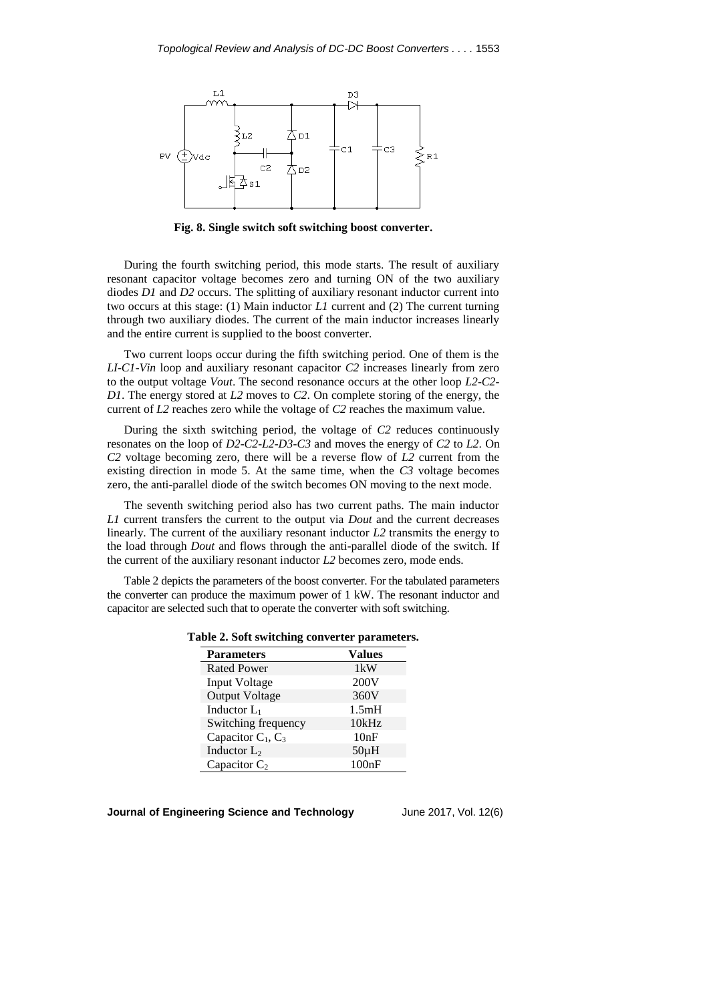

**Fig. 8. Single switch soft switching boost converter.**

During the fourth switching period, this mode starts. The result of auxiliary resonant capacitor voltage becomes zero and turning ON of the two auxiliary diodes *D1* and *D2* occurs. The splitting of auxiliary resonant inductor current into two occurs at this stage: (1) Main inductor *L1* current and (2) The current turning through two auxiliary diodes. The current of the main inductor increases linearly and the entire current is supplied to the boost converter.

Two current loops occur during the fifth switching period. One of them is the *LI*-*C1*-*Vin* loop and auxiliary resonant capacitor *C2* increases linearly from zero to the output voltage *Vout*. The second resonance occurs at the other loop *L2*-*C2*- *D1*. The energy stored at *L2* moves to *C2*. On complete storing of the energy, the current of *L2* reaches zero while the voltage of *C2* reaches the maximum value.

During the sixth switching period, the voltage of *C2* reduces continuously resonates on the loop of *D2*-*C2*-*L2*-*D3*-*C3* and moves the energy of *C2* to *L2*. On *C2* voltage becoming zero, there will be a reverse flow of *L2* current from the existing direction in mode 5. At the same time, when the *C3* voltage becomes zero, the anti-parallel diode of the switch becomes ON moving to the next mode.

The seventh switching period also has two current paths. The main inductor *L1* current transfers the current to the output via *Dout* and the current decreases linearly. The current of the auxiliary resonant inductor *L2* transmits the energy to the load through *Dout* and flows through the anti-parallel diode of the switch. If the current of the auxiliary resonant inductor *L2* becomes zero, mode ends.

Table 2 depicts the parameters of the boost converter. For the tabulated parameters the converter can produce the maximum power of 1 kW. The resonant inductor and capacitor are selected such that to operate the converter with soft switching.

|  |  |  |  | Table 2. Soft switching converter parameters |
|--|--|--|--|----------------------------------------------|
|--|--|--|--|----------------------------------------------|

| <b>Parameters</b>     | <b>Values</b> |
|-----------------------|---------------|
| <b>Rated Power</b>    | 1kW           |
| Input Voltage         | 200V          |
| <b>Output Voltage</b> | 360V          |
| Inductor $L_1$        | 1.5mH         |
| Switching frequency   | 10kHz         |
| Capacitor $C_1, C_3$  | 10nF          |
| Inductor $L_2$        | $50\mu H$     |
| Capacitor $C_2$       | 100nF         |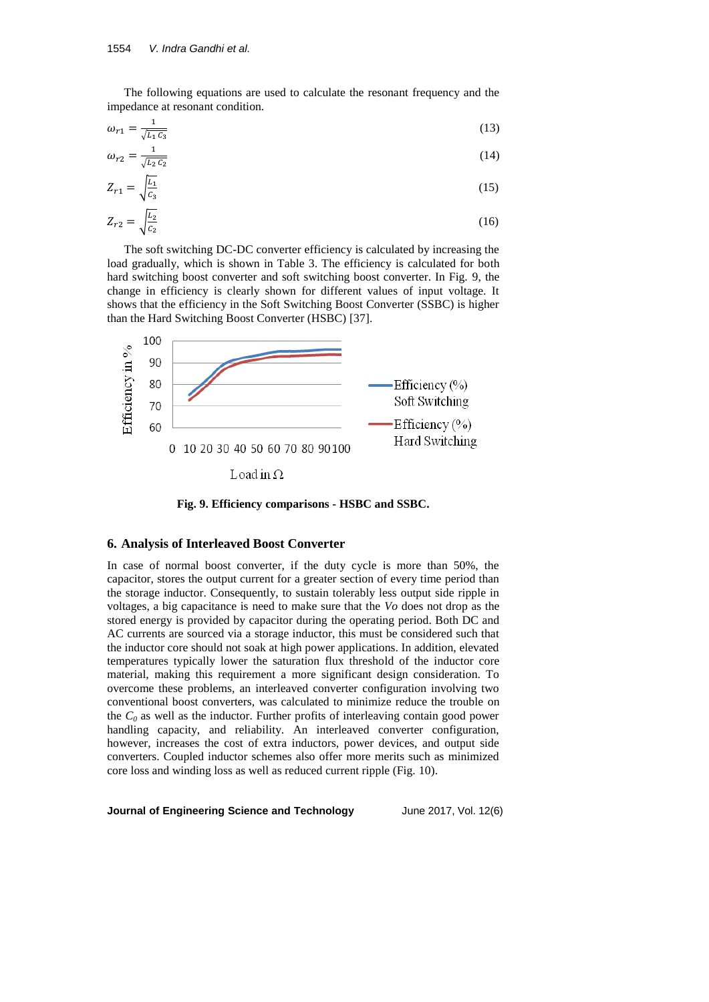The following equations are used to calculate the resonant frequency and the impedance at resonant condition.

$$
\omega_{r1} = \frac{1}{\sqrt{L_1 C_3}}\tag{13}
$$

$$
\omega_{r2} = \frac{1}{\sqrt{L_2 c_2}}\tag{14}
$$

$$
Z_{r1} = \sqrt{\frac{L_1}{C_3}}
$$
 (15)

$$
Z_{r2} = \sqrt{\frac{L_2}{C_2}}\tag{16}
$$

The soft switching DC-DC converter efficiency is calculated by increasing the load gradually, which is shown in Table 3. The efficiency is calculated for both hard switching boost converter and soft switching boost converter. In Fig. 9, the change in efficiency is clearly shown for different values of input voltage. It shows that the efficiency in the Soft Switching Boost Converter (SSBC) is higher than the Hard Switching Boost Converter (HSBC) [37].



**Fig. 9. Efficiency comparisons - HSBC and SSBC.**

### **6. Analysis of Interleaved Boost Converter**

In case of normal boost converter, if the duty cycle is more than 50%, the capacitor, stores the output current for a greater section of every time period than the storage inductor. Consequently, to sustain tolerably less output side ripple in voltages, a big capacitance is need to make sure that the *Vo* does not drop as the stored energy is provided by capacitor during the operating period. Both DC and AC currents are sourced via a storage inductor, this must be considered such that the inductor core should not soak at high power applications. In addition, elevated temperatures typically lower the saturation flux threshold of the inductor core material, making this requirement a more significant design consideration. To overcome these problems, an interleaved converter configuration involving two conventional boost converters, was calculated to minimize reduce the trouble on the  $C_0$  as well as the inductor. Further profits of interleaving contain good power handling capacity, and reliability. An interleaved converter configuration, however, increases the cost of extra inductors, power devices, and output side converters. Coupled inductor schemes also offer more merits such as minimized core loss and winding loss as well as reduced current ripple (Fig. 10).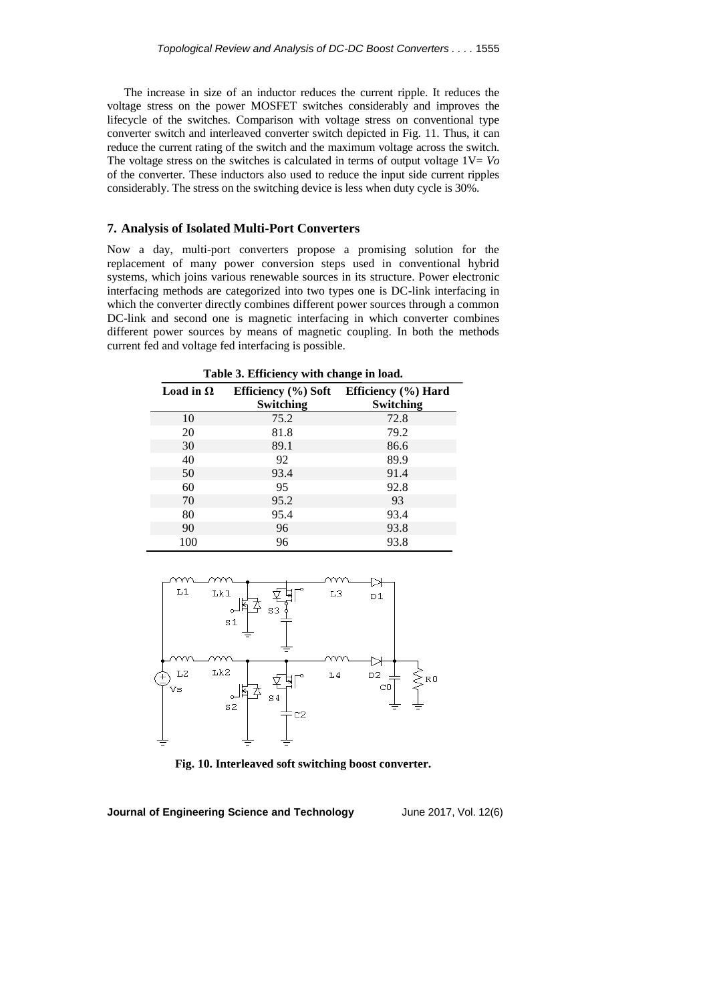The increase in size of an inductor reduces the current ripple. It reduces the voltage stress on the power MOSFET switches considerably and improves the lifecycle of the switches. Comparison with voltage stress on conventional type converter switch and interleaved converter switch depicted in Fig. 11. Thus, it can reduce the current rating of the switch and the maximum voltage across the switch. The voltage stress on the switches is calculated in terms of output voltage  $1V = Vo$ of the converter. These inductors also used to reduce the input side current ripples considerably. The stress on the switching device is less when duty cycle is 30%.

### **7. Analysis of Isolated Multi-Port Converters**

Now a day, multi-port converters propose a promising solution for the replacement of many power conversion steps used in conventional hybrid systems, which joins various renewable sources in its structure. Power electronic interfacing methods are categorized into two types one is DC-link interfacing in which the converter directly combines different power sources through a common DC-link and second one is magnetic interfacing in which converter combines different power sources by means of magnetic coupling. In both the methods current fed and voltage fed interfacing is possible.

| Table 3. Efficiency with change in load. |                  |                                         |  |
|------------------------------------------|------------------|-----------------------------------------|--|
| Load in $\Omega$                         |                  | Efficiency (%) Soft Efficiency (%) Hard |  |
|                                          | <b>Switching</b> | <b>Switching</b>                        |  |
| 10                                       | 75.2             | 72.8                                    |  |
| 20                                       | 81.8             | 79.2                                    |  |
| 30                                       | 89.1             | 86.6                                    |  |
| 40                                       | 92               | 89.9                                    |  |
| 50                                       | 93.4             | 91.4                                    |  |
| 60                                       | 95               | 92.8                                    |  |
| 70                                       | 95.2             | 93                                      |  |
| 80                                       | 95.4             | 93.4                                    |  |
| 90                                       | 96               | 93.8                                    |  |
| 100                                      | 96               | 93.8                                    |  |



**Fig. 10. Interleaved soft switching boost converter.**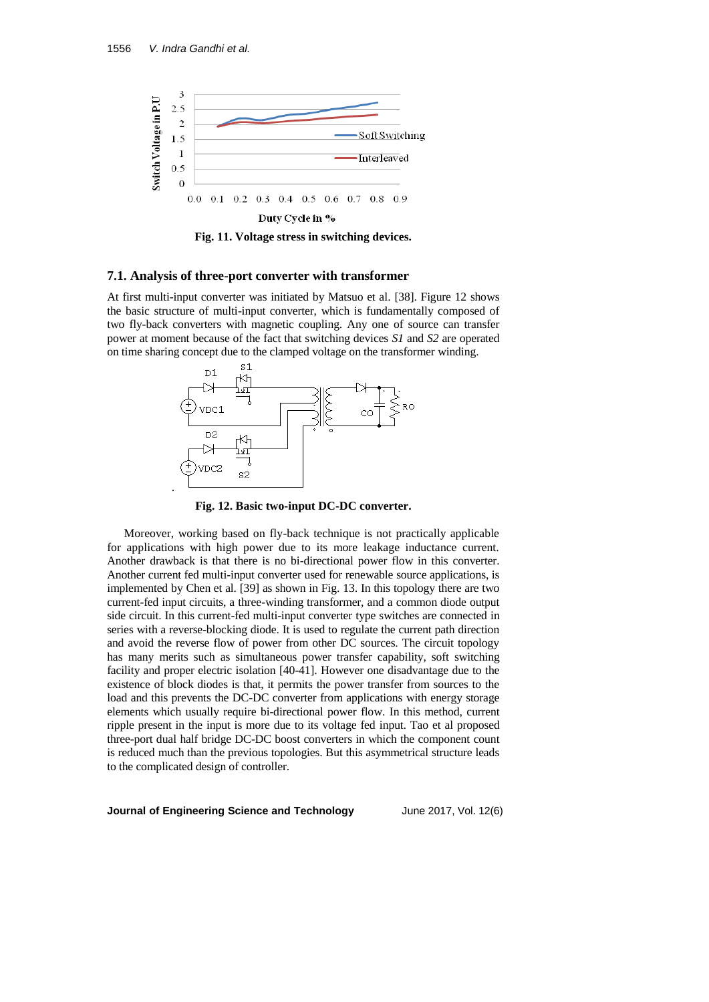

**Fig. 11. Voltage stress in switching devices.**

#### **7.1. Analysis of three-port converter with transformer**

At first multi-input converter was initiated by Matsuo et al. [38]. Figure 12 shows the basic structure of multi-input converter, which is fundamentally composed of two fly-back converters with magnetic coupling. Any one of source can transfer power at moment because of the fact that switching devices *S1* and *S2* are operated on time sharing concept due to the clamped voltage on the transformer winding.



**Fig. 12. Basic two-input DC-DC converter.**

Moreover, working based on fly-back technique is not practically applicable for applications with high power due to its more leakage inductance current. Another drawback is that there is no bi-directional power flow in this converter. Another current fed multi-input converter used for renewable source applications, is implemented by Chen et al. [39] as shown in Fig. 13. In this topology there are two current-fed input circuits, a three-winding transformer, and a common diode output side circuit. In this current-fed multi-input converter type switches are connected in series with a reverse-blocking diode. It is used to regulate the current path direction and avoid the reverse flow of power from other DC sources. The circuit topology has many merits such as simultaneous power transfer capability, soft switching facility and proper electric isolation [40-41]. However one disadvantage due to the existence of block diodes is that, it permits the power transfer from sources to the load and this prevents the DC-DC converter from applications with energy storage elements which usually require bi-directional power flow. In this method, current ripple present in the input is more due to its voltage fed input. Tao et al proposed three-port dual half bridge DC-DC boost converters in which the component count is reduced much than the previous topologies. But this asymmetrical structure leads to the complicated design of controller.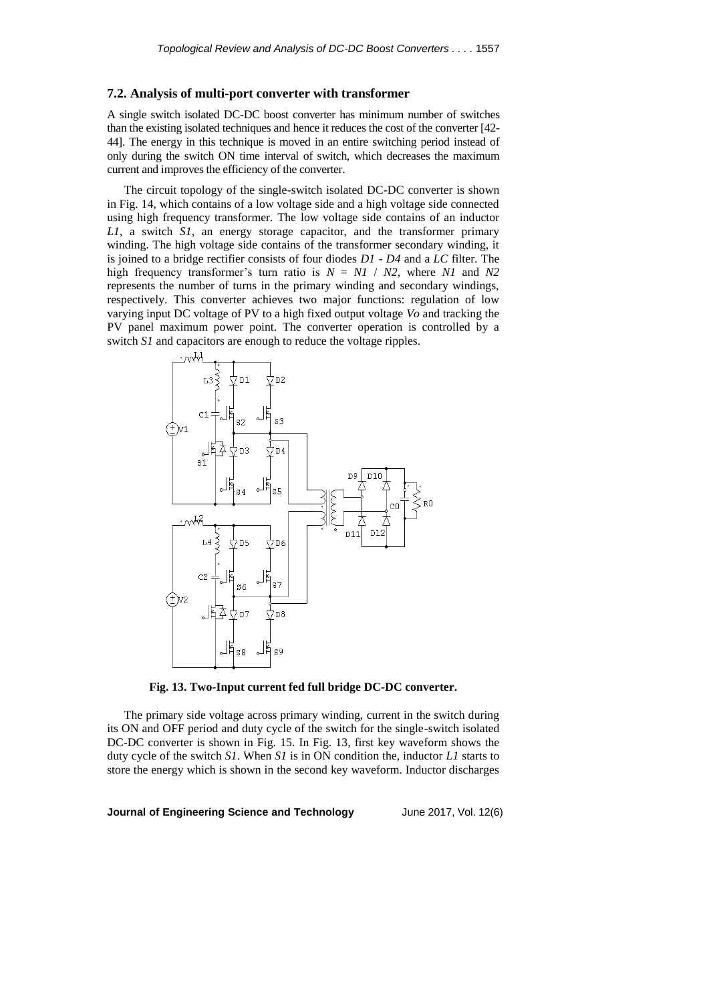### **7.2. Analysis of multi-port converter with transformer**

A single switch isolated DC-DC boost converter has minimum number of switches than the existing isolated techniques and hence it reduces the cost of the converter [42- 44]. The energy in this technique is moved in an entire switching period instead of only during the switch ON time interval of switch, which decreases the maximum current and improves the efficiency of the converter.

The circuit topology of the single-switch isolated DC-DC converter is shown in Fig. 14, which contains of a low voltage side and a high voltage side connected using high frequency transformer. The low voltage side contains of an inductor *L1*, a switch *S1*, an energy storage capacitor, and the transformer primary winding. The high voltage side contains of the transformer secondary winding, it is joined to a bridge rectifier consists of four diodes *D1* - *D4* and a *LC* filter. The high frequency transformer's turn ratio is  $N = NI / N2$ , where *N1* and *N2* represents the number of turns in the primary winding and secondary windings, respectively. This converter achieves two major functions: regulation of low varying input DC voltage of PV to a high fixed output voltage *Vo* and tracking the PV panel maximum power point. The converter operation is controlled by a switch *S1* and capacitors are enough to reduce the voltage ripples.



**Fig. 13. Two-Input current fed full bridge DC-DC converter.**

The primary side voltage across primary winding, current in the switch during its ON and OFF period and duty cycle of the switch for the single-switch isolated DC-DC converter is shown in Fig. 15. In Fig. 13, first key waveform shows the duty cycle of the switch *S1*. When *S1* is in ON condition the, inductor *L1* starts to store the energy which is shown in the second key waveform. Inductor discharges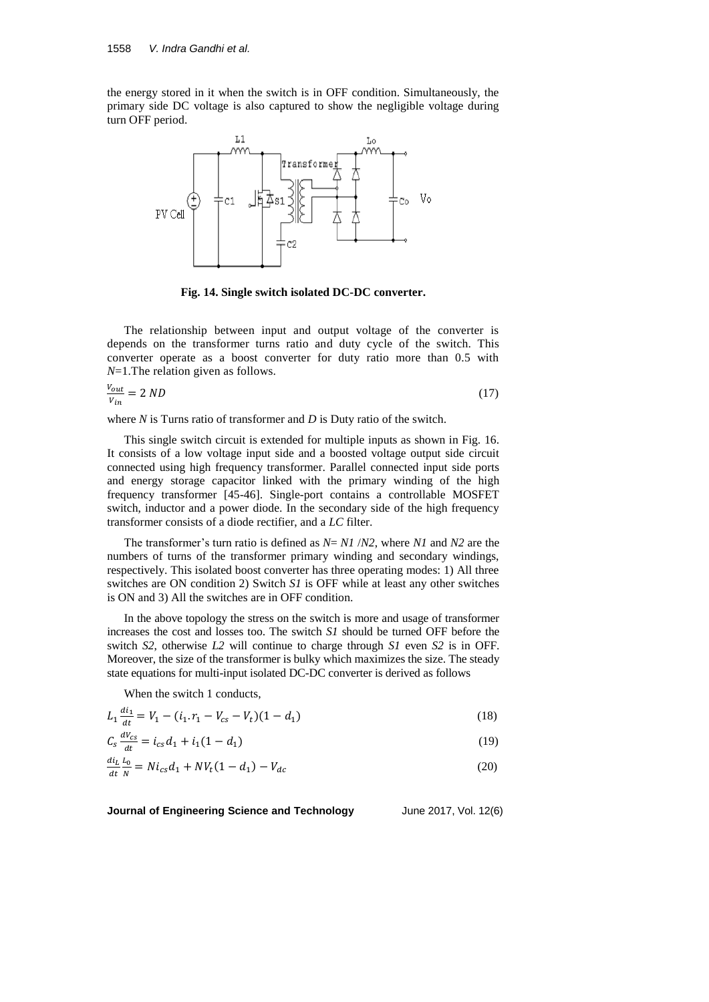the energy stored in it when the switch is in OFF condition. Simultaneously, the primary side DC voltage is also captured to show the negligible voltage during turn OFF period.



**Fig. 14. Single switch isolated DC-DC converter.**

The relationship between input and output voltage of the converter is depends on the transformer turns ratio and duty cycle of the switch. This converter operate as a boost converter for duty ratio more than 0.5 with *N*=1.The relation given as follows.

$$
\frac{v_{out}}{v_{in}} = 2 \, ND \tag{17}
$$

where *N* is Turns ratio of transformer and *D* is Duty ratio of the switch.

This single switch circuit is extended for multiple inputs as shown in Fig. 16. It consists of a low voltage input side and a boosted voltage output side circuit connected using high frequency transformer. Parallel connected input side ports and energy storage capacitor linked with the primary winding of the high frequency transformer [45-46]. Single-port contains a controllable MOSFET switch, inductor and a power diode. In the secondary side of the high frequency transformer consists of a diode rectifier, and a *LC* filter.

The transformer's turn ratio is defined as *N*= *N1* /*N2*, where *N1* and *N2* are the numbers of turns of the transformer primary winding and secondary windings, respectively. This isolated boost converter has three operating modes: 1) All three switches are ON condition 2) Switch *S1* is OFF while at least any other switches is ON and 3) All the switches are in OFF condition.

In the above topology the stress on the switch is more and usage of transformer increases the cost and losses too. The switch *S1* should be turned OFF before the switch *S2*, otherwise *L2* will continue to charge through *S1* even *S2* is in OFF. Moreover, the size of the transformer is bulky which maximizes the size. The steady state equations for multi-input isolated DC-DC converter is derived as follows

When the switch 1 conducts,

$$
L_1 \frac{di_1}{dt} = V_1 - (i_1 \cdot r_1 - V_{cs} - V_t)(1 - d_1) \tag{18}
$$

$$
C_s \frac{dV_{cs}}{dt} = i_{cs}d_1 + i_1(1 - d_1)
$$
\n(19)

$$
\frac{di_L}{dt} \frac{L_0}{N} = Ni_{cs}d_1 + NV_t(1 - d_1) - V_{dc}
$$
\n(20)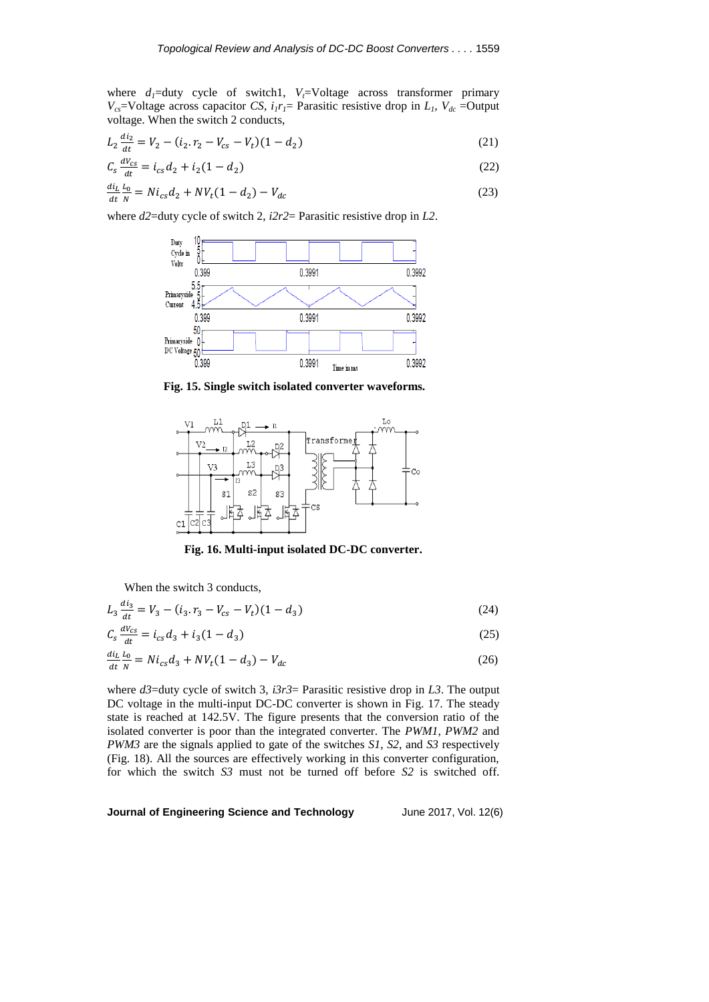where  $d_1$ =duty cycle of switch1,  $V_t$ =Voltage across transformer primary *V<sub>cs</sub>*=Voltage across capacitor *CS*,  $i_1r_1$ = Parasitic resistive drop in  $L_1$ ,  $V_{dc}$  =Output voltage. When the switch 2 conducts,

$$
L_2 \frac{di_2}{dt} = V_2 - (i_2 \cdot r_2 - V_{cs} - V_t)(1 - d_2) \tag{21}
$$

$$
C_s \frac{dV_{cs}}{dt} = i_{cs}d_2 + i_2(1 - d_2)
$$
\n(22)

$$
\frac{di_L}{dt} \frac{L_0}{N} = Ni_{cs}d_2 + NV_t(1 - d_2) - V_{dc}
$$
\n(23)

where *d2*=duty cycle of switch 2, *i2r2*= Parasitic resistive drop in *L2*.



**Fig. 15. Single switch isolated converter waveforms.**



**Fig. 16. Multi-input isolated DC-DC converter.**

When the switch 3 conducts,

$$
L_3 \frac{di_3}{dt} = V_3 - (i_3 \cdot r_3 - V_{cs} - V_t)(1 - d_3) \tag{24}
$$

$$
C_s \frac{dV_{cs}}{dt} = i_{cs}d_3 + i_3(1 - d_3) \tag{25}
$$

$$
\frac{di_L}{dt}\frac{L_0}{N} = Ni_{cs}d_3 + NV_t(1 - d_3) - V_{dc}
$$
\n(26)

where *d3*=duty cycle of switch 3, *i3r3*= Parasitic resistive drop in *L3*. The output DC voltage in the multi-input DC-DC converter is shown in Fig. 17. The steady state is reached at 142.5V. The figure presents that the conversion ratio of the isolated converter is poor than the integrated converter. The *PWM1*, *PWM2* and *PWM3* are the signals applied to gate of the switches *S1*, *S2*, and *S3* respectively (Fig. 18). All the sources are effectively working in this converter configuration, for which the switch *S3* must not be turned off before *S2* is switched off.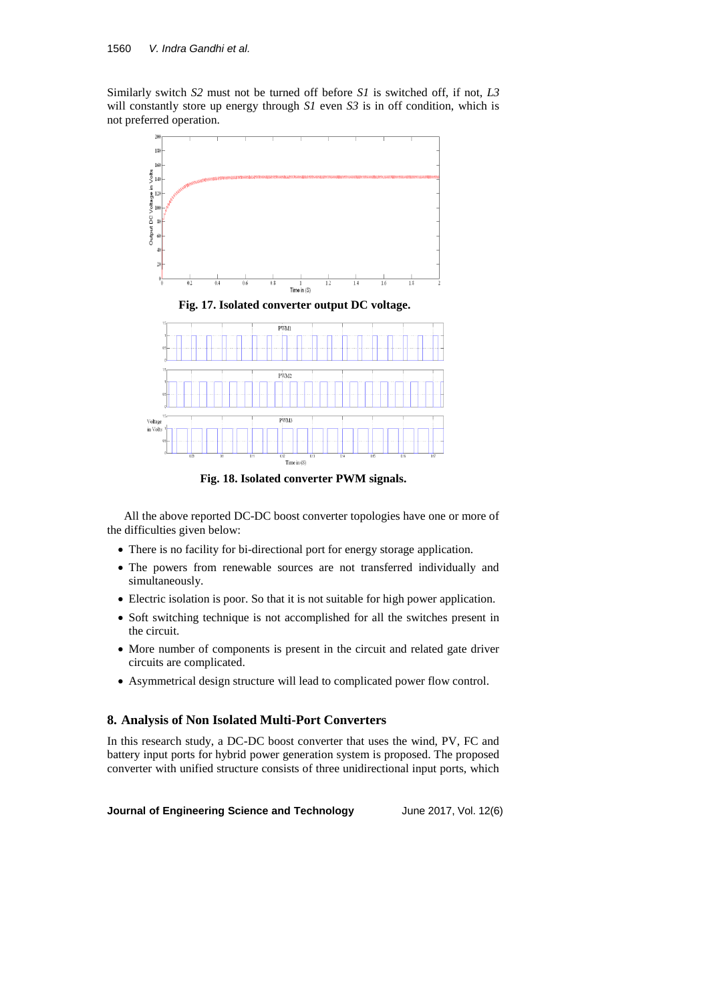Similarly switch *S2* must not be turned off before *S1* is switched off, if not, *L3* will constantly store up energy through *S1* even *S3* is in off condition, which is not preferred operation.





**Fig. 18. Isolated converter PWM signals.**

All the above reported DC-DC boost converter topologies have one or more of the difficulties given below:

- There is no facility for bi-directional port for energy storage application.
- The powers from renewable sources are not transferred individually and simultaneously.
- Electric isolation is poor. So that it is not suitable for high power application.
- Soft switching technique is not accomplished for all the switches present in the circuit.
- More number of components is present in the circuit and related gate driver circuits are complicated.
- Asymmetrical design structure will lead to complicated power flow control.

#### **8. Analysis of Non Isolated Multi-Port Converters**

In this research study, a DC-DC boost converter that uses the wind, PV, FC and battery input ports for hybrid power generation system is proposed. The proposed converter with unified structure consists of three unidirectional input ports, which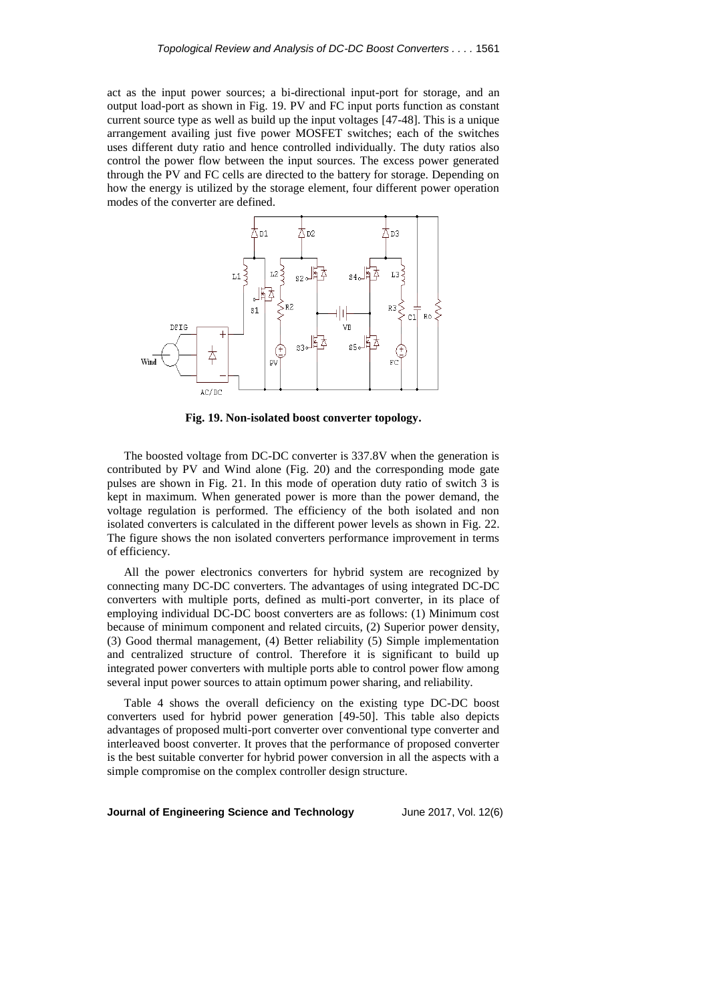act as the input power sources; a bi-directional input-port for storage, and an output load-port as shown in Fig. 19. PV and FC input ports function as constant current source type as well as build up the input voltages [47-48]. This is a unique arrangement availing just five power MOSFET switches; each of the switches uses different duty ratio and hence controlled individually. The duty ratios also control the power flow between the input sources. The excess power generated through the PV and FC cells are directed to the battery for storage. Depending on how the energy is utilized by the storage element, four different power operation modes of the converter are defined.



**Fig. 19. Non-isolated boost converter topology.**

The boosted voltage from DC-DC converter is 337.8V when the generation is contributed by PV and Wind alone (Fig. 20) and the corresponding mode gate pulses are shown in Fig. 21. In this mode of operation duty ratio of switch 3 is kept in maximum. When generated power is more than the power demand, the voltage regulation is performed. The efficiency of the both isolated and non isolated converters is calculated in the different power levels as shown in Fig. 22. The figure shows the non isolated converters performance improvement in terms of efficiency.

All the power electronics converters for hybrid system are recognized by connecting many DC-DC converters. The advantages of using integrated DC-DC converters with multiple ports, defined as multi-port converter, in its place of employing individual DC-DC boost converters are as follows: (1) Minimum cost because of minimum component and related circuits, (2) Superior power density, (3) Good thermal management, (4) Better reliability (5) Simple implementation and centralized structure of control. Therefore it is significant to build up integrated power converters with multiple ports able to control power flow among several input power sources to attain optimum power sharing, and reliability.

Table 4 shows the overall deficiency on the existing type DC-DC boost converters used for hybrid power generation [49-50]. This table also depicts advantages of proposed multi-port converter over conventional type converter and interleaved boost converter. It proves that the performance of proposed converter is the best suitable converter for hybrid power conversion in all the aspects with a simple compromise on the complex controller design structure.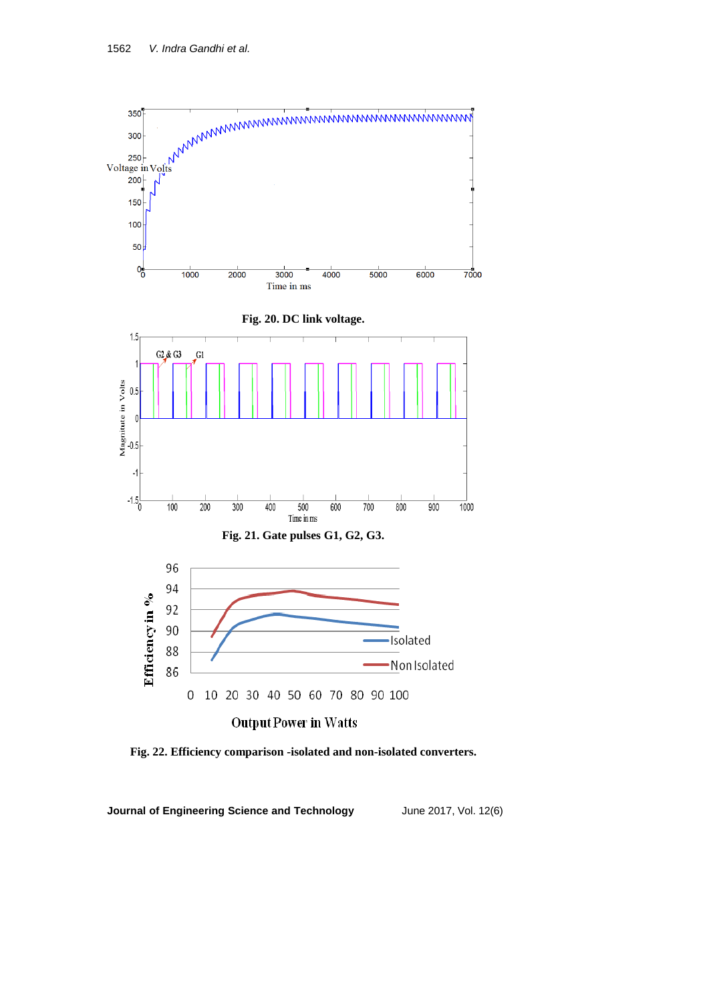

**Fig. 22. Efficiency comparison -isolated and non-isolated converters.**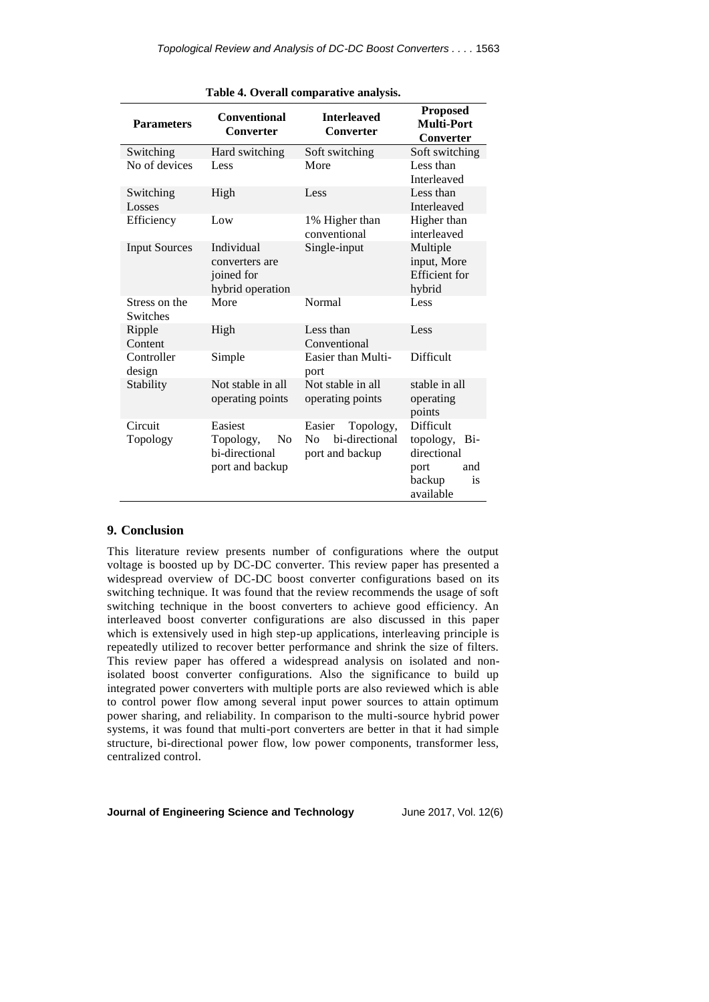| <b>Parameters</b>         | <b>Conventional</b><br><b>Converter</b>                                     | <b>Interleaved</b><br><b>Converter</b>                                     | <b>Proposed</b><br><b>Multi-Port</b><br><b>Converter</b>                                     |
|---------------------------|-----------------------------------------------------------------------------|----------------------------------------------------------------------------|----------------------------------------------------------------------------------------------|
| Switching                 | Hard switching                                                              | Soft switching                                                             | Soft switching                                                                               |
| No of devices             | Less                                                                        | More                                                                       | Less than<br><b>Interleaved</b>                                                              |
| Switching<br>Losses       | High                                                                        | Less                                                                       | Less than<br><b>Interleaved</b>                                                              |
| Efficiency                | Low                                                                         | 1% Higher than<br>conventional                                             | Higher than<br>interleaved                                                                   |
| <b>Input Sources</b>      | Individual<br>converters are<br>joined for<br>hybrid operation              | Single-input                                                               | Multiple<br>input, More<br><b>Efficient</b> for<br>hybrid                                    |
| Stress on the<br>Switches | More                                                                        | Normal                                                                     | Less                                                                                         |
| Ripple<br>Content         | High                                                                        | Less than<br>Conventional                                                  | Less                                                                                         |
| Controller<br>design      | Simple                                                                      | Easier than Multi-<br>port                                                 | Difficult                                                                                    |
| Stability                 | Not stable in all<br>operating points                                       | Not stable in all<br>operating points                                      | stable in all<br>operating<br>points                                                         |
| Circuit<br>Topology       | Easiest<br>Topology,<br>N <sub>0</sub><br>bi-directional<br>port and backup | Topology,<br>Easier<br>bi-directional<br>N <sub>0</sub><br>port and backup | Difficult<br>topology, Bi-<br>directional<br>and<br>port<br>backup<br><i>is</i><br>available |

**Table 4. Overall comparative analysis.**

### **9. Conclusion**

This literature review presents number of configurations where the output voltage is boosted up by DC-DC converter. This review paper has presented a widespread overview of DC-DC boost converter configurations based on its switching technique. It was found that the review recommends the usage of soft switching technique in the boost converters to achieve good efficiency. An interleaved boost converter configurations are also discussed in this paper which is extensively used in high step-up applications, interleaving principle is repeatedly utilized to recover better performance and shrink the size of filters. This review paper has offered a widespread analysis on isolated and nonisolated boost converter configurations. Also the significance to build up integrated power converters with multiple ports are also reviewed which is able to control power flow among several input power sources to attain optimum power sharing, and reliability. In comparison to the multi-source hybrid power systems, it was found that multi-port converters are better in that it had simple structure, bi-directional power flow, low power components, transformer less, centralized control.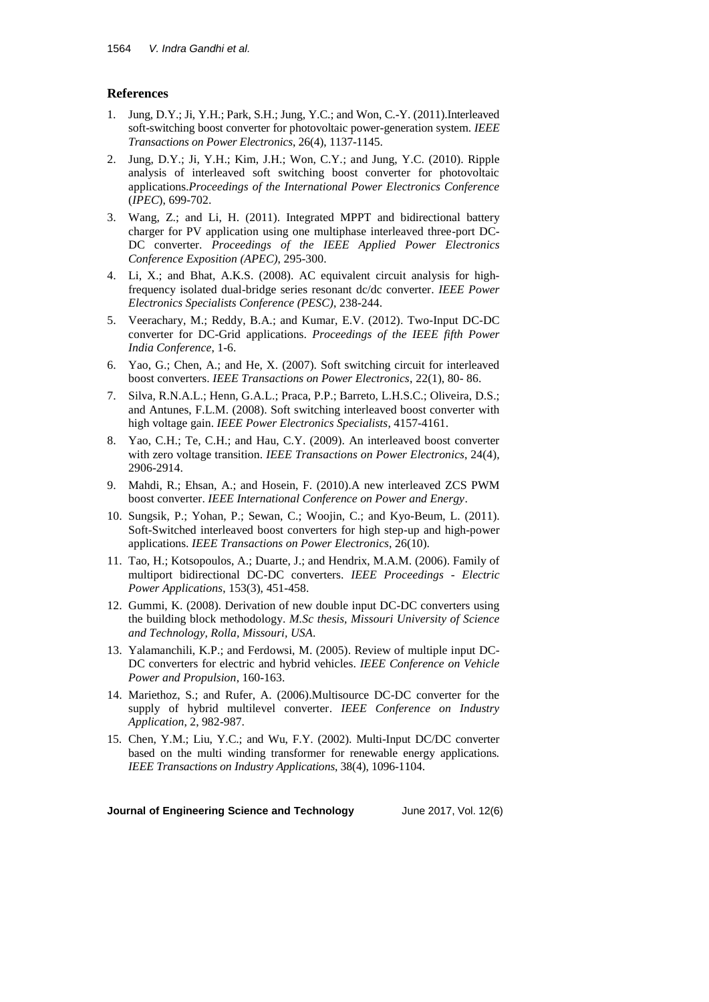## **References**

- 1. Jung, D.Y.; Ji, Y.H.; Park, S.H.; Jung, Y.C.; and Won, C.-Y. (2011).Interleaved soft-switching boost converter for photovoltaic power-generation system. *IEEE Transactions on Power Electronics*, 26(4), 1137-1145.
- 2. Jung, D.Y.; Ji, Y.H.; Kim, J.H.; Won, C.Y.; and Jung, Y.C. (2010). Ripple analysis of interleaved soft switching boost converter for photovoltaic applications.*Proceedings of the International Power Electronics Conference* (*IPEC*), 699-702.
- 3. Wang, Z.; and Li, H. (2011). Integrated MPPT and bidirectional battery charger for PV application using one multiphase interleaved three-port DC-DC converter. *Proceedings of the IEEE Applied Power Electronics Conference Exposition (APEC)*, 295-300.
- 4. Li, X.; and Bhat, A.K.S. (2008). AC equivalent circuit analysis for highfrequency isolated dual-bridge series resonant dc/dc converter. *IEEE Power Electronics Specialists Conference (PESC)*, 238-244.
- 5. Veerachary, M.; Reddy, B.A.; and Kumar, E.V. (2012). Two-Input DC-DC converter for DC-Grid applications. *Proceedings of the IEEE fifth Power India Conference*, 1-6.
- 6. Yao, G.; Chen, A.; and He, X. (2007). Soft switching circuit for interleaved boost converters. *IEEE Transactions on Power Electronics*, 22(1), 80- 86.
- 7. Silva, R.N.A.L.; Henn, G.A.L.; Praca, P.P.; Barreto, L.H.S.C.; Oliveira, D.S.; and Antunes, F.L.M. (2008). Soft switching interleaved boost converter with high voltage gain. *IEEE Power Electronics Specialists*, 4157-4161.
- 8. Yao, C.H.; Te, C.H.; and Hau, C.Y. (2009). An interleaved boost converter with zero voltage transition. *IEEE Transactions on Power Electronics*, 24(4), 2906-2914.
- 9. Mahdi, R.; Ehsan, A.; and Hosein, F. (2010).A new interleaved ZCS PWM boost converter. *IEEE International Conference on Power and Energy*.
- 10. Sungsik, P.; Yohan, P.; Sewan, C.; Woojin, C.; and Kyo-Beum, L. (2011). Soft-Switched interleaved boost converters for high step-up and high-power applications. *IEEE Transactions on Power Electronics*, 26(10).
- 11. Tao, H.; Kotsopoulos, A.; Duarte, J.; and Hendrix, M.A.M. (2006). Family of multiport bidirectional DC-DC converters. *IEEE Proceedings - Electric Power Applications*, 153(3), 451-458.
- 12. Gummi, K. (2008). Derivation of new double input DC-DC converters using the building block methodology. *M.Sc thesis, Missouri University of Science and Technology, Rolla, Missouri, USA*.
- 13. Yalamanchili, K.P.; and Ferdowsi, M. (2005). Review of multiple input DC-DC converters for electric and hybrid vehicles. *IEEE Conference on Vehicle Power and Propulsion*, 160-163.
- 14. Mariethoz, S.; and Rufer, A. (2006).Multisource DC-DC converter for the supply of hybrid multilevel converter. *IEEE Conference on Industry Application*, 2, 982-987.
- 15. Chen, Y.M.; Liu, Y.C.; and Wu, F.Y. (2002). Multi-Input DC/DC converter based on the multi winding transformer for renewable energy applications*. IEEE Transactions on Industry Applications*, 38(4), 1096-1104.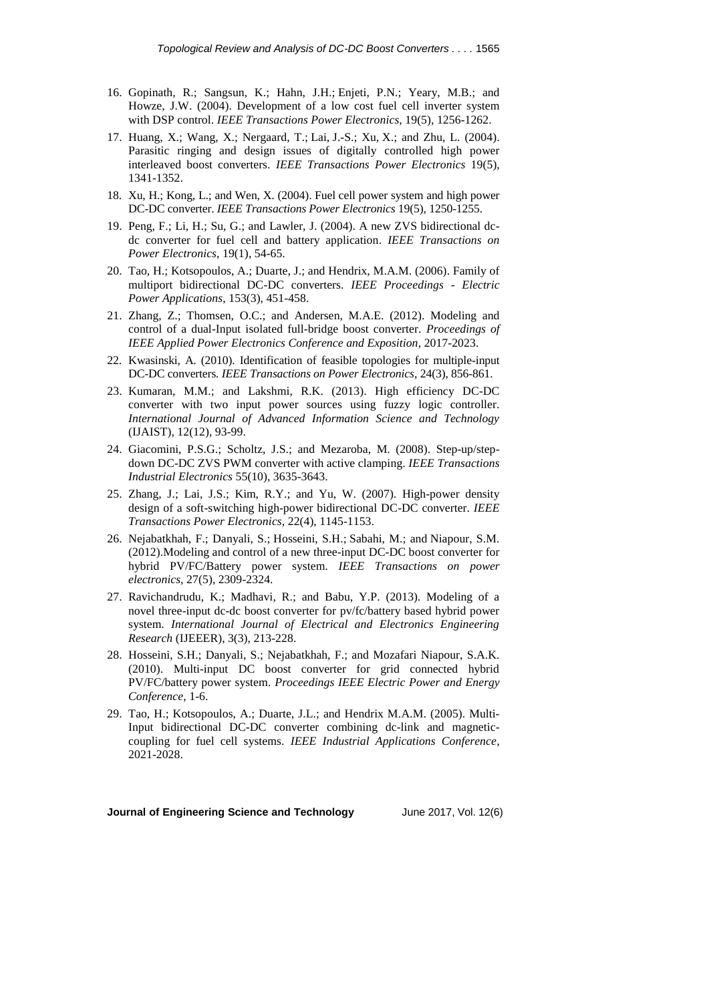- 16. Gopinath, R.; [Sangsun,](http://ieeexplore.ieee.org/search/searchresult.jsp?searchWithin=p_Authors:.QT.Kim,%20Sangsun.QT.&searchWithin=p_Author_Ids:37279278700&newsearch=true) K.; Hahn, J.H.; Enjeti, P.N.; [Yeary, M.](http://ieeexplore.ieee.org/search/searchresult.jsp?searchWithin=p_Authors:.QT.Yeary,%20M..QT.&searchWithin=p_Author_Ids:37279024700&newsearch=true)B.; and Howze, J.W. (2004). Development of a low cost fuel cell inverter system with DSP control. *IEEE Transactions Power Electronics*, 19(5), 1256-1262.
- 17. Huang, X.; [Wang,](http://ieeexplore.ieee.org/search/searchresult.jsp?searchWithin=p_Authors:.QT.Xiaoyan%20Wang.QT.&searchWithin=p_Author_Ids:37281381200&newsearch=true) X.; [Nergaard, T.](http://ieeexplore.ieee.org/search/searchresult.jsp?searchWithin=p_Authors:.QT.Nergaard,%20T..QT.&searchWithin=p_Author_Ids:37281739700&newsearch=true); [Lai,](http://ieeexplore.ieee.org/search/searchresult.jsp?searchWithin=p_Authors:.QT.Jih-Sheng%20Lai.QT.&searchWithin=p_Author_Ids:38182964400&newsearch=true) J.-S.; [Xu,](http://ieeexplore.ieee.org/search/searchresult.jsp?searchWithin=p_Authors:.QT.Xingyi%20Xu.QT.&searchWithin=p_Author_Ids:37276823800&newsearch=true) X.; and [Zhu, L.](http://ieeexplore.ieee.org/search/searchresult.jsp?searchWithin=p_Authors:.QT.Zhu,%20L..QT.&searchWithin=p_Author_Ids:37276565300&newsearch=true) (2004). Parasitic ringing and design issues of digitally controlled high power interleaved boost converters. *IEEE Transactions Power Electronics* 19(5), 1341-1352.
- 18. Xu, H.; Kong, L.; and Wen, X. (2004). Fuel cell power system and high power DC-DC converter. *IEEE Transactions Power Electronics* 19(5), 1250-1255.
- 19. Peng, F.; Li, H.; Su, G.; and Lawler, J. (2004). A new ZVS bidirectional dcdc converter for fuel cell and battery application. *IEEE Transactions on Power Electronics*, 19(1), 54-65.
- 20. Tao, H.; Kotsopoulos, A.; Duarte, J.; and Hendrix, M.A.M. (2006). Family of multiport bidirectional DC-DC converters. *IEEE Proceedings - Electric Power Applications*, 153(3), 451-458.
- 21. Zhang, Z.; Thomsen, O.C.; and Andersen, M.A.E. (2012). Modeling and control of a dual-Input isolated full-bridge boost converter. *Proceedings of IEEE Applied Power Electronics Conference and Exposition*, 2017-2023.
- 22. Kwasinski, A. (2010). Identification of feasible topologies for multiple-input DC-DC converters*. IEEE Transactions on Power Electronics*, 24(3), 856-861.
- 23. Kumaran, M.M.; and Lakshmi, R.K. (2013). High efficiency DC-DC converter with two input power sources using fuzzy logic controller. *International Journal of Advanced Information Science and Technology* (IJAIST), 12(12), 93-99.
- 24. Giacomini, P.S.G.; Scholtz, J.S.; and Mezaroba, M. (2008). Step-up/stepdown DC-DC ZVS PWM converter with active clamping. *IEEE Transactions Industrial Electronics* 55(10), 3635-3643.
- 25. Zhang, J.; Lai, J.S.; Kim, R.Y.; and Yu, W. (2007). High-power density design of a soft-switching high-power bidirectional DC-DC converter. *IEEE Transactions Power Electronics*, 22(4), 1145-1153.
- 26. Nejabatkhah, F.; Danyali, S.; Hosseini, S.H.; Sabahi, M.; and Niapour, S.M. (2012).Modeling and control of a new three-input DC-DC boost converter for hybrid PV/FC/Battery power system. *IEEE Transactions on power electronics,* 27(5), 2309-2324.
- 27. Ravichandrudu, K.; Madhavi, R.; and Babu, Y.P. (2013). Modeling of a novel three-input dc-dc boost converter for pv/fc/battery based hybrid power system. *International Journal of Electrical and Electronics Engineering Research* (IJEEER), 3(3), 213-228.
- 28. Hosseini, S.H.; Danyali, S.; Nejabatkhah, F.; and Mozafari Niapour, S.A.K. (2010). Multi-input DC boost converter for grid connected hybrid PV/FC/battery power system. *Proceedings IEEE Electric Power and Energy Conference*, 1-6.
- 29. Tao, H.; Kotsopoulos, A.; Duarte, J.L.; and Hendrix M.A.M. (2005). Multi-Input bidirectional DC-DC converter combining dc-link and magneticcoupling for fuel cell systems. *IEEE Industrial Applications Conference*, 2021-2028.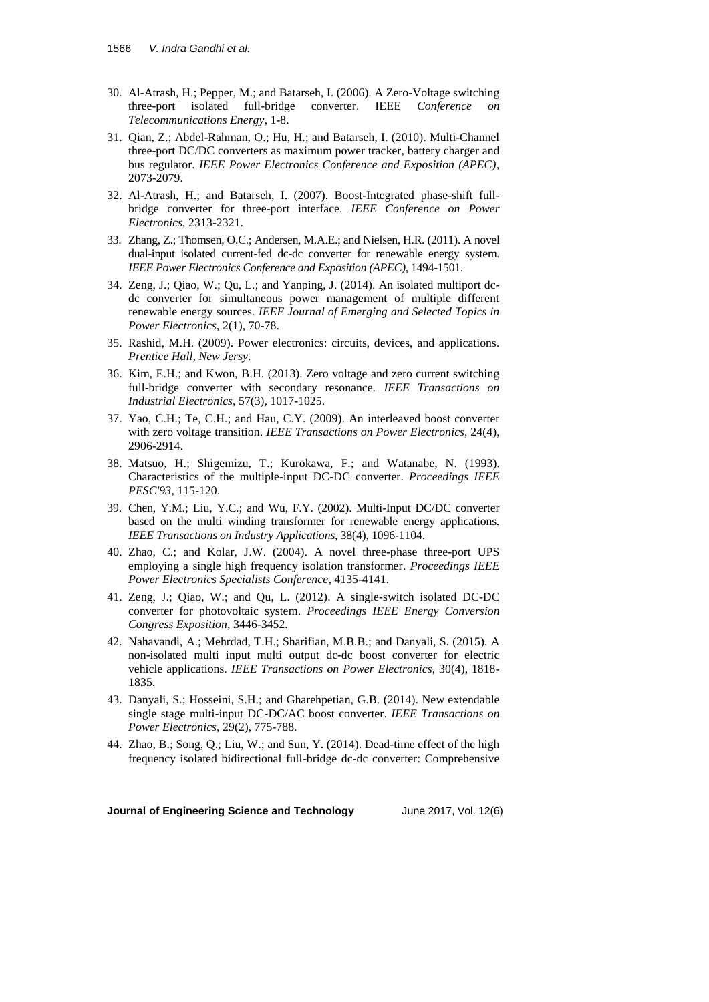- 30. Al-Atrash, H.; Pepper, M.; and Batarseh, I. (2006). A Zero-Voltage switching three-port isolated full-bridge converter. IEEE *Conference Telecommunications Energy*, 1-8.
- 31. Qian, Z.; Abdel-Rahman, O.; Hu, H.; and Batarseh, I. (2010). Multi-Channel three-port DC/DC converters as maximum power tracker, battery charger and bus regulator. *IEEE Power Electronics Conference and Exposition (APEC)*, 2073-2079.
- 32. Al-Atrash, H.; and Batarseh, I. (2007). Boost-Integrated phase-shift fullbridge converter for three-port interface. *IEEE Conference on Power Electronics*, 2313-2321.
- 33. Zhang, Z.; Thomsen, O.C.; Andersen, M.A.E.; and Nielsen, H.R. (2011). A novel dual-input isolated current-fed dc-dc converter for renewable energy system. *IEEE Power Electronics Conference and Exposition (APEC)*, 1494-1501.
- 34. Zeng, J.; Qiao, W.; Qu, L.; and Yanping, J. (2014). An isolated multiport dcdc converter for simultaneous power management of multiple different renewable energy sources. *IEEE Journal of Emerging and Selected Topics in Power Electronics*, 2(1), 70-78.
- 35. Rashid, M.H. (2009). Power electronics: circuits, devices, and applications. *Prentice Hall, New Jersy*.
- 36. Kim, E.H.; and Kwon, B.H. (2013). Zero voltage and zero current switching full-bridge converter with secondary resonance. *IEEE Transactions on Industrial Electronics*, 57(3), 1017-1025.
- 37. Yao, C.H.; Te, C.H.; and Hau, C.Y. (2009). An interleaved boost converter with zero voltage transition. *IEEE Transactions on Power Electronics*, 24(4), 2906-2914.
- 38. Matsuo, H.; Shigemizu, T.; Kurokawa, F.; and Watanabe, N. (1993). Characteristics of the multiple-input DC-DC converter. *Proceedings IEEE PESC'93*, 115-120.
- 39. Chen, Y.M.; Liu, Y.C.; and Wu, F.Y. (2002). Multi-Input DC/DC converter based on the multi winding transformer for renewable energy applications. *IEEE Transactions on Industry Applications*, 38(4), 1096-1104.
- 40. Zhao, C.; and Kolar, J.W. (2004). A novel three-phase three-port UPS employing a single high frequency isolation transformer. *Proceedings IEEE Power Electronics Specialists Conference*, 4135-4141.
- 41. Zeng, J.; Qiao, W.; and Qu, L. (2012). A single-switch isolated DC-DC converter for photovoltaic system. *Proceedings IEEE Energy Conversion Congress Exposition*, 3446-3452.
- 42. Nahavandi, A.; Mehrdad, T.H.; Sharifian, M.B.B.; and Danyali, S. (2015). A non-isolated multi input multi output dc-dc boost converter for electric vehicle applications. *IEEE Transactions on Power Electronics*, 30(4), 1818- 1835.
- 43. Danyali, S.; Hosseini, S.H.; and Gharehpetian, G.B. (2014). New extendable single stage multi-input DC-DC/AC boost converter. *IEEE Transactions on Power Electronics*, 29(2), 775-788.
- 44. Zhao, B.; Song, Q.; Liu, W.; and Sun, Y. (2014). Dead-time effect of the high frequency isolated bidirectional full-bridge dc-dc converter: Comprehensive